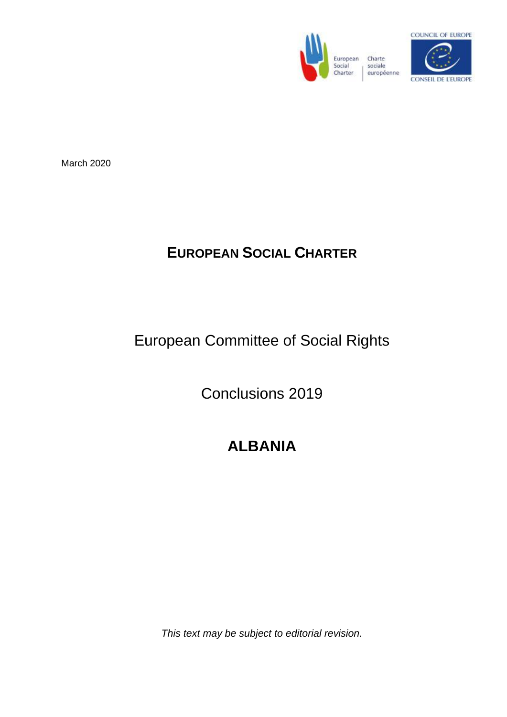



March 2020

# **EUROPEAN SOCIAL CHARTER**

# European Committee of Social Rights

Conclusions 2019

# **ALBANIA**

*This text may be subject to editorial revision.*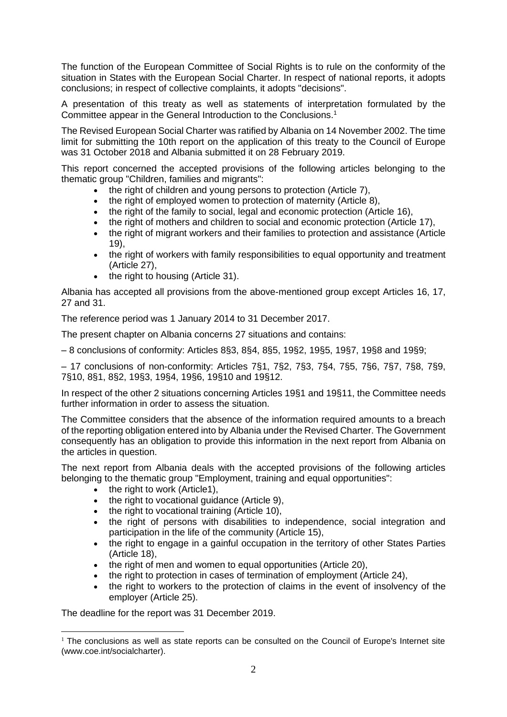The function of the European Committee of Social Rights is to rule on the conformity of the situation in States with the European Social Charter. In respect of national reports, it adopts conclusions; in respect of collective complaints, it adopts "decisions".

A presentation of this treaty as well as statements of interpretation formulated by the Committee appear in the General Introduction to the Conclusions.<sup>1</sup>

The Revised European Social Charter was ratified by Albania on 14 November 2002. The time limit for submitting the 10th report on the application of this treaty to the Council of Europe was 31 October 2018 and Albania submitted it on 28 February 2019.

This report concerned the accepted provisions of the following articles belonging to the thematic group "Children, families and migrants":

- the right of children and young persons to protection (Article 7),
- the right of employed women to protection of maternity (Article 8),
- the right of the family to social, legal and economic protection (Article 16),
- the right of mothers and children to social and economic protection (Article 17),
- the right of migrant workers and their families to protection and assistance (Article 19),
- the right of workers with family responsibilities to equal opportunity and treatment (Article 27),
- the right to housing (Article 31).

Albania has accepted all provisions from the above-mentioned group except Articles 16, 17, 27 and 31.

The reference period was 1 January 2014 to 31 December 2017.

The present chapter on Albania concerns 27 situations and contains:

– 8 conclusions of conformity: Articles 8§3, 8§4, 8§5, 19§2, 19§5, 19§7, 19§8 and 19§9;

– 17 conclusions of non-conformity: Articles 7§1, 7§2, 7§3, 7§4, 7§5, 7§6, 7§7, 7§8, 7§9, 7§10, 8§1, 8§2, 19§3, 19§4, 19§6, 19§10 and 19§12.

In respect of the other 2 situations concerning Articles 19§1 and 19§11, the Committee needs further information in order to assess the situation.

The Committee considers that the absence of the information required amounts to a breach of the reporting obligation entered into by Albania under the Revised Charter. The Government consequently has an obligation to provide this information in the next report from Albania on the articles in question.

The next report from Albania deals with the accepted provisions of the following articles belonging to the thematic group "Employment, training and equal opportunities":

- the right to work (Article1),
- the right to vocational guidance (Article 9),
- the right to vocational training (Article 10).
- the right of persons with disabilities to independence, social integration and participation in the life of the community (Article 15),
- the right to engage in a gainful occupation in the territory of other States Parties (Article 18),
- the right of men and women to equal opportunities (Article 20),
- the right to protection in cases of termination of employment (Article 24),
- the right to workers to the protection of claims in the event of insolvency of the employer (Article 25).

The deadline for the report was 31 December 2019.

 $1$  The conclusions as well as state reports can be consulted on the Council of Europe's Internet site (www.coe.int/socialcharter).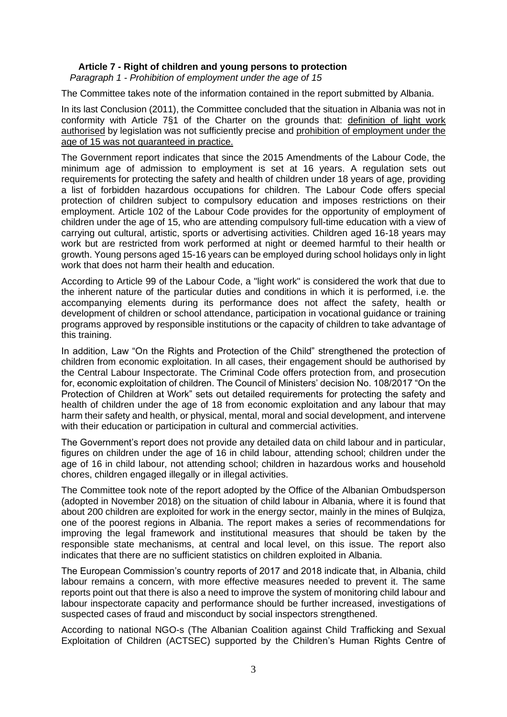*Paragraph 1 - Prohibition of employment under the age of 15*

The Committee takes note of the information contained in the report submitted by Albania.

In its last Conclusion (2011), the Committee concluded that the situation in Albania was not in conformity with Article 7§1 of the Charter on the grounds that: definition of light work authorised by legislation was not sufficiently precise and prohibition of employment under the age of 15 was not guaranteed in practice.

The Government report indicates that since the 2015 Amendments of the Labour Code, the minimum age of admission to employment is set at 16 years. A regulation sets out requirements for protecting the safety and health of children under 18 years of age, providing a list of forbidden hazardous occupations for children. The Labour Code offers special protection of children subject to compulsory education and imposes restrictions on their employment. Article 102 of the Labour Code provides for the opportunity of employment of children under the age of 15, who are attending compulsory full-time education with a view of carrying out cultural, artistic, sports or advertising activities. Children aged 16-18 years may work but are restricted from work performed at night or deemed harmful to their health or growth. Young persons aged 15-16 years can be employed during school holidays only in light work that does not harm their health and education.

According to Article 99 of the Labour Code, a "light work" is considered the work that due to the inherent nature of the particular duties and conditions in which it is performed, i.e. the accompanying elements during its performance does not affect the safety, health or development of children or school attendance, participation in vocational guidance or training programs approved by responsible institutions or the capacity of children to take advantage of this training.

In addition, Law "On the Rights and Protection of the Child" strengthened the protection of children from economic exploitation. In all cases, their engagement should be authorised by the Central Labour Inspectorate. The Criminal Code offers protection from, and prosecution for, economic exploitation of children. The Council of Ministers' decision No. 108/2017 "On the Protection of Children at Work" sets out detailed requirements for protecting the safety and health of children under the age of 18 from economic exploitation and any labour that may harm their safety and health, or physical, mental, moral and social development, and intervene with their education or participation in cultural and commercial activities.

The Government's report does not provide any detailed data on child labour and in particular, figures on children under the age of 16 in child labour, attending school; children under the age of 16 in child labour, not attending school; children in hazardous works and household chores, children engaged illegally or in illegal activities.

The Committee took note of the report adopted by the Office of the Albanian Ombudsperson (adopted in November 2018) on the situation of child labour in Albania, where it is found that about 200 children are exploited for work in the energy sector, mainly in the mines of Bulqiza, one of the poorest regions in Albania. The report makes a series of recommendations for improving the legal framework and institutional measures that should be taken by the responsible state mechanisms, at central and local level, on this issue. The report also indicates that there are no sufficient statistics on children exploited in Albania.

The European Commission's country reports of 2017 and 2018 indicate that, in Albania, child labour remains a concern, with more effective measures needed to prevent it. The same reports point out that there is also a need to improve the system of monitoring child labour and labour inspectorate capacity and performance should be further increased, investigations of suspected cases of fraud and misconduct by social inspectors strengthened.

According to national NGO-s (The Albanian Coalition against Child Trafficking and Sexual Exploitation of Children (ACTSEC) supported by the Children's Human Rights Centre of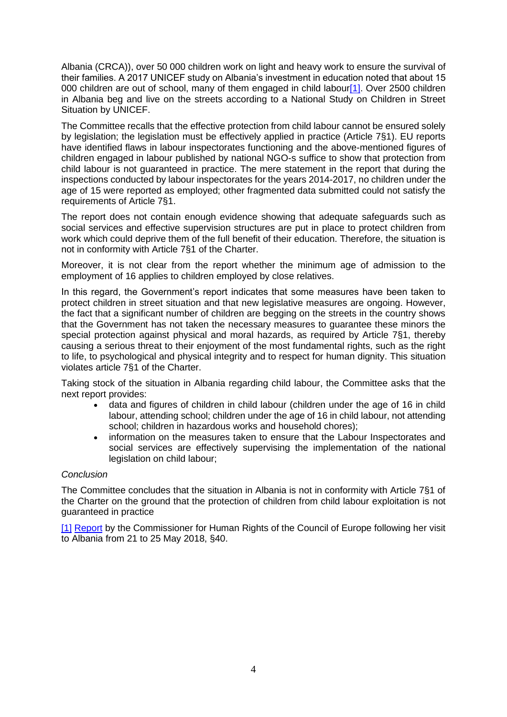Albania (CRCA)), over 50 000 children work on light and heavy work to ensure the survival of their families. A 2017 UNICEF study on Albania's investment in education noted that about 15 000 children are out of school, many of them engaged in child labour<sup>[1]</sup>. Over 2500 children in Albania beg and live on the streets according to a National Study on Children in Street Situation by UNICEF.

The Committee recalls that the effective protection from child labour cannot be ensured solely by legislation; the legislation must be effectively applied in practice (Article 7§1). EU reports have identified flaws in labour inspectorates functioning and the above-mentioned figures of children engaged in labour published by national NGO-s suffice to show that protection from child labour is not guaranteed in practice. The mere statement in the report that during the inspections conducted by labour inspectorates for the years 2014-2017, no children under the age of 15 were reported as employed; other fragmented data submitted could not satisfy the requirements of Article 7§1.

The report does not contain enough evidence showing that adequate safeguards such as social services and effective supervision structures are put in place to protect children from work which could deprive them of the full benefit of their education. Therefore, the situation is not in conformity with Article 7§1 of the Charter.

Moreover, it is not clear from the report whether the minimum age of admission to the employment of 16 applies to children employed by close relatives.

In this regard, the Government's report indicates that some measures have been taken to protect children in street situation and that new legislative measures are ongoing. However, the fact that a significant number of children are begging on the streets in the country shows that the Government has not taken the necessary measures to guarantee these minors the special protection against physical and moral hazards, as required by Article 7§1, thereby causing a serious threat to their enjoyment of the most fundamental rights, such as the right to life, to psychological and physical integrity and to respect for human dignity. This situation violates article 7§1 of the Charter.

Taking stock of the situation in Albania regarding child labour, the Committee asks that the next report provides:

- data and figures of children in child labour (children under the age of 16 in child labour, attending school; children under the age of 16 in child labour, not attending school; children in hazardous works and household chores);
- information on the measures taken to ensure that the Labour Inspectorates and social services are effectively supervising the implementation of the national legislation on child labour;

# *Conclusion*

The Committee concludes that the situation in Albania is not in conformity with Article 7§1 of the Charter on the ground that the protection of children from child labour exploitation is not guaranteed in practice

[\[1\]](file://///Einstein-Share/home.Tumulty$/Art.%207/COMPILATION%207.1_EN_CLEAN.docx%23_ftnref1) [Report](https://rm.coe.int/report-on-the-visit-to-albania-from-21-to-25-may-2018-by-dunja-mijatov/16808d2e22) by the Commissioner for Human Rights of the Council of Europe following her visit to Albania from 21 to 25 May 2018, §40.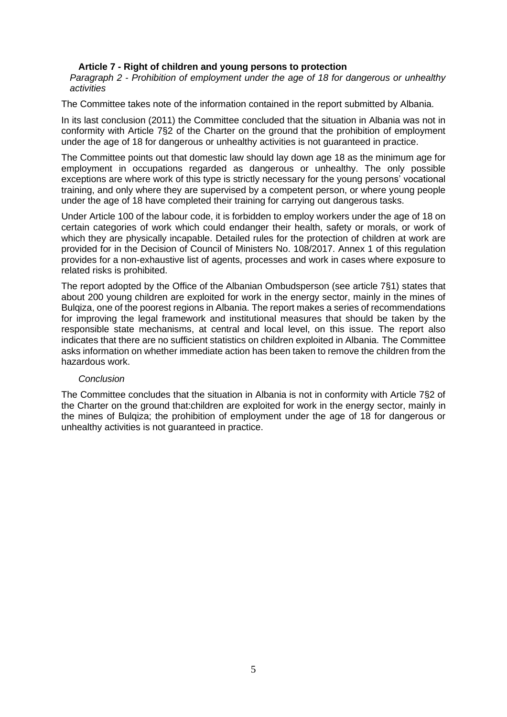*Paragraph 2 - Prohibition of employment under the age of 18 for dangerous or unhealthy activities*

The Committee takes note of the information contained in the report submitted by Albania.

In its last conclusion (2011) the Committee concluded that the situation in Albania was not in conformity with Article 7§2 of the Charter on the ground that the prohibition of employment under the age of 18 for dangerous or unhealthy activities is not guaranteed in practice.

The Committee points out that domestic law should lay down age 18 as the minimum age for employment in occupations regarded as dangerous or unhealthy. The only possible exceptions are where work of this type is strictly necessary for the young persons' vocational training, and only where they are supervised by a competent person, or where young people under the age of 18 have completed their training for carrying out dangerous tasks.

Under Article 100 of the labour code, it is forbidden to employ workers under the age of 18 on certain categories of work which could endanger their health, safety or morals, or work of which they are physically incapable. Detailed rules for the protection of children at work are provided for in the Decision of Council of Ministers No. 108/2017. Annex 1 of this regulation provides for a non-exhaustive list of agents, processes and work in cases where exposure to related risks is prohibited.

The report adopted by the Office of the Albanian Ombudsperson (see article 7§1) states that about 200 young children are exploited for work in the energy sector, mainly in the mines of Bulqiza, one of the poorest regions in Albania. The report makes a series of recommendations for improving the legal framework and institutional measures that should be taken by the responsible state mechanisms, at central and local level, on this issue. The report also indicates that there are no sufficient statistics on children exploited in Albania. The Committee asks information on whether immediate action has been taken to remove the children from the hazardous work.

#### *Conclusion*

The Committee concludes that the situation in Albania is not in conformity with Article 7§2 of the Charter on the ground that:children are exploited for work in the energy sector, mainly in the mines of Bulqiza; the prohibition of employment under the age of 18 for dangerous or unhealthy activities is not guaranteed in practice.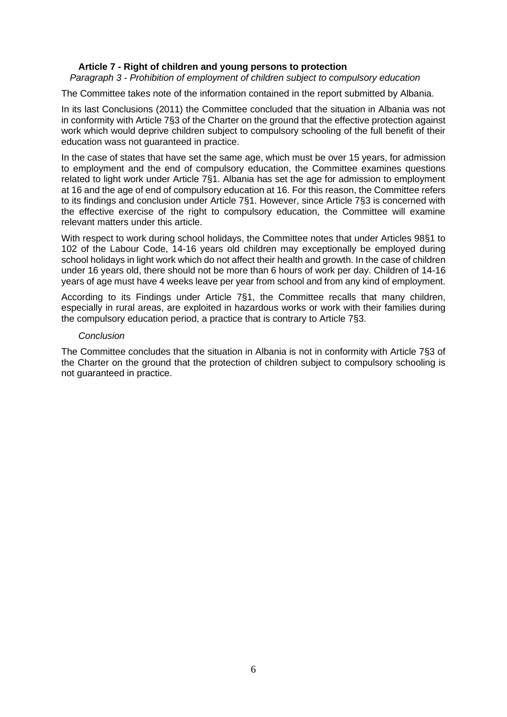### *Paragraph 3 - Prohibition of employment of children subject to compulsory education*

The Committee takes note of the information contained in the report submitted by Albania.

In its last Conclusions (2011) the Committee concluded that the situation in Albania was not in conformity with Article 7§3 of the Charter on the ground that the effective protection against work which would deprive children subject to compulsory schooling of the full benefit of their education wass not guaranteed in practice.

In the case of states that have set the same age, which must be over 15 years, for admission to employment and the end of compulsory education, the Committee examines questions related to light work under Article 7§1. Albania has set the age for admission to employment at 16 and the age of end of compulsory education at 16. For this reason, the Committee refers to its findings and conclusion under Article 7§1. However, since Article 7§3 is concerned with the effective exercise of the right to compulsory education, the Committee will examine relevant matters under this article.

With respect to work during school holidays, the Committee notes that under Articles 98§1 to 102 of the Labour Code, 14-16 years old children may exceptionally be employed during school holidays in light work which do not affect their health and growth. In the case of children under 16 years old, there should not be more than 6 hours of work per day. Children of 14-16 years of age must have 4 weeks leave per year from school and from any kind of employment.

According to its Findings under Article 7§1, the Committee recalls that many children, especially in rural areas, are exploited in hazardous works or work with their families during the compulsory education period, a practice that is contrary to Article 7§3.

#### *Conclusion*

The Committee concludes that the situation in Albania is not in conformity with Article 7§3 of the Charter on the ground that the protection of children subject to compulsory schooling is not guaranteed in practice.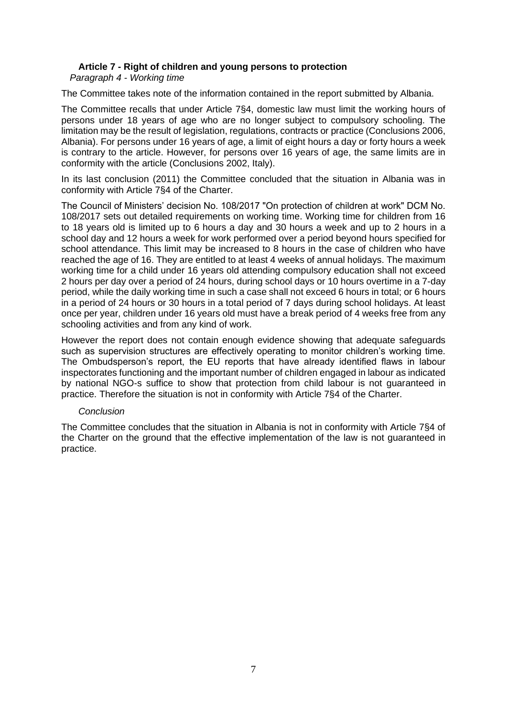*Paragraph 4 - Working time*

The Committee takes note of the information contained in the report submitted by Albania.

The Committee recalls that under Article 7§4, domestic law must limit the working hours of persons under 18 years of age who are no longer subject to compulsory schooling. The limitation may be the result of legislation, regulations, contracts or practice (Conclusions 2006, Albania). For persons under 16 years of age, a limit of eight hours a day or forty hours a week is contrary to the article. However, for persons over 16 years of age, the same limits are in conformity with the article (Conclusions 2002, Italy).

In its last conclusion (2011) the Committee concluded that the situation in Albania was in conformity with Article 7§4 of the Charter.

The Council of Ministers' decision No. 108/2017 "On protection of children at work" DCM No. 108/2017 sets out detailed requirements on working time. Working time for children from 16 to 18 years old is limited up to 6 hours a day and 30 hours a week and up to 2 hours in a school day and 12 hours a week for work performed over a period beyond hours specified for school attendance. This limit may be increased to 8 hours in the case of children who have reached the age of 16. They are entitled to at least 4 weeks of annual holidays. The maximum working time for a child under 16 years old attending compulsory education shall not exceed 2 hours per day over a period of 24 hours, during school days or 10 hours overtime in a 7-day period, while the daily working time in such a case shall not exceed 6 hours in total; or 6 hours in a period of 24 hours or 30 hours in a total period of 7 days during school holidays. At least once per year, children under 16 years old must have a break period of 4 weeks free from any schooling activities and from any kind of work.

However the report does not contain enough evidence showing that adequate safeguards such as supervision structures are effectively operating to monitor children's working time. The Ombudsperson's report, the EU reports that have already identified flaws in labour inspectorates functioning and the important number of children engaged in labour as indicated by national NGO-s suffice to show that protection from child labour is not guaranteed in practice. Therefore the situation is not in conformity with Article 7§4 of the Charter.

# *Conclusion*

The Committee concludes that the situation in Albania is not in conformity with Article 7§4 of the Charter on the ground that the effective implementation of the law is not guaranteed in practice.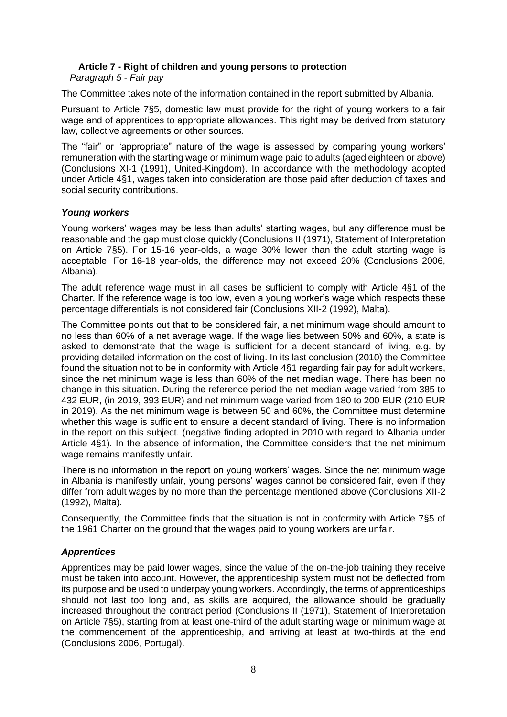*Paragraph 5 - Fair pay*

The Committee takes note of the information contained in the report submitted by Albania.

Pursuant to Article 7§5, domestic law must provide for the right of young workers to a fair wage and of apprentices to appropriate allowances. This right may be derived from statutory law, collective agreements or other sources.

The "fair" or "appropriate" nature of the wage is assessed by comparing young workers' remuneration with the starting wage or minimum wage paid to adults (aged eighteen or above) (Conclusions XI-1 (1991), United-Kingdom). In accordance with the methodology adopted under Article 4§1, wages taken into consideration are those paid after deduction of taxes and social security contributions.

# *Young workers*

Young workers' wages may be less than adults' starting wages, but any difference must be reasonable and the gap must close quickly (Conclusions II (1971), Statement of Interpretation on Article 7§5). For 15-16 year-olds, a wage 30% lower than the adult starting wage is acceptable. For 16-18 year-olds, the difference may not exceed 20% (Conclusions 2006, Albania).

The adult reference wage must in all cases be sufficient to comply with Article 4§1 of the Charter. If the reference wage is too low, even a young worker's wage which respects these percentage differentials is not considered fair (Conclusions XII-2 (1992), Malta).

The Committee points out that to be considered fair, a net minimum wage should amount to no less than 60% of a net average wage. If the wage lies between 50% and 60%, a state is asked to demonstrate that the wage is sufficient for a decent standard of living, e.g. by providing detailed information on the cost of living. In its last conclusion (2010) the Committee found the situation not to be in conformity with Article 4§1 regarding fair pay for adult workers, since the net minimum wage is less than 60% of the net median wage. There has been no change in this situation. During the reference period the net median wage varied from 385 to 432 EUR, (in 2019, 393 EUR) and net minimum wage varied from 180 to 200 EUR (210 EUR in 2019). As the net minimum wage is between 50 and 60%, the Committee must determine whether this wage is sufficient to ensure a decent standard of living. There is no information in the report on this subject. (negative finding adopted in 2010 with regard to Albania under Article 4§1). In the absence of information, the Committee considers that the net minimum wage remains manifestly unfair.

There is no information in the report on young workers' wages. Since the net minimum wage in Albania is manifestly unfair, young persons' wages cannot be considered fair, even if they differ from adult wages by no more than the percentage mentioned above (Conclusions XII-2 (1992), Malta).

Consequently, the Committee finds that the situation is not in conformity with Article 7§5 of the 1961 Charter on the ground that the wages paid to young workers are unfair.

# *Apprentices*

Apprentices may be paid lower wages, since the value of the on-the-job training they receive must be taken into account. However, the apprenticeship system must not be deflected from its purpose and be used to underpay young workers. Accordingly, the terms of apprenticeships should not last too long and, as skills are acquired, the allowance should be gradually increased throughout the contract period (Conclusions II (1971), Statement of Interpretation on Article 7§5), starting from at least one-third of the adult starting wage or minimum wage at the commencement of the apprenticeship, and arriving at least at two-thirds at the end (Conclusions 2006, Portugal).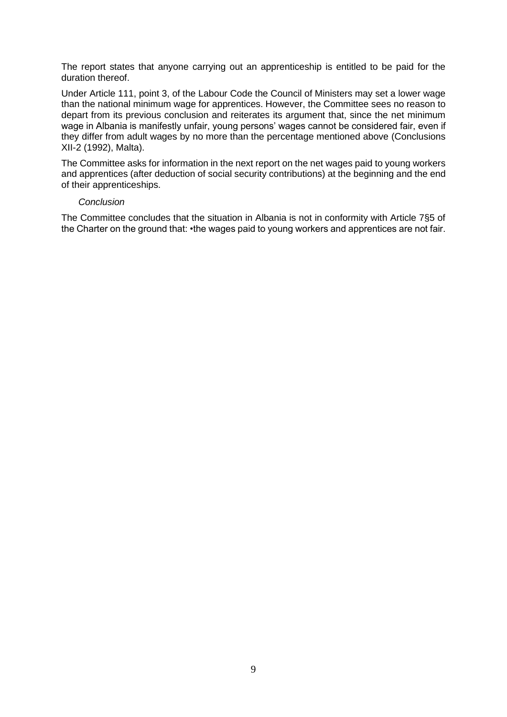The report states that anyone carrying out an apprenticeship is entitled to be paid for the duration thereof.

Under Article 111, point 3, of the Labour Code the Council of Ministers may set a lower wage than the national minimum wage for apprentices. However, the Committee sees no reason to depart from its previous conclusion and reiterates its argument that, since the net minimum wage in Albania is manifestly unfair, young persons' wages cannot be considered fair, even if they differ from adult wages by no more than the percentage mentioned above (Conclusions XII-2 (1992), Malta).

The Committee asks for information in the next report on the net wages paid to young workers and apprentices (after deduction of social security contributions) at the beginning and the end of their apprenticeships.

#### *Conclusion*

The Committee concludes that the situation in Albania is not in conformity with Article 7§5 of the Charter on the ground that: •the wages paid to young workers and apprentices are not fair.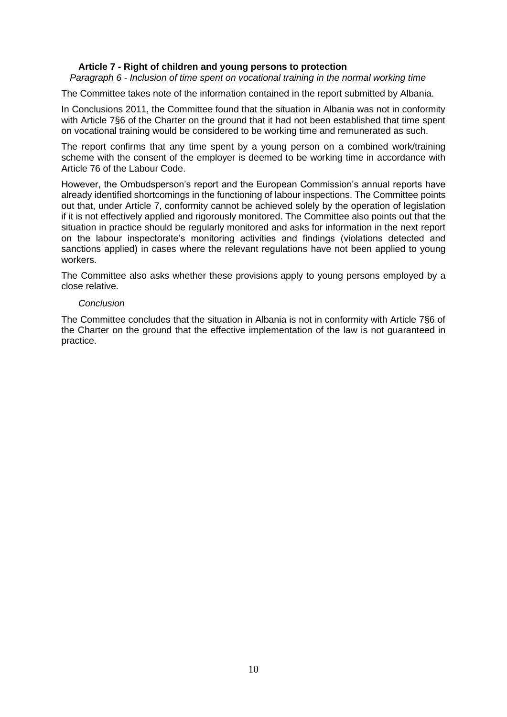*Paragraph 6 - Inclusion of time spent on vocational training in the normal working time*

The Committee takes note of the information contained in the report submitted by Albania.

In Conclusions 2011, the Committee found that the situation in Albania was not in conformity with Article 7§6 of the Charter on the ground that it had not been established that time spent on vocational training would be considered to be working time and remunerated as such.

The report confirms that any time spent by a young person on a combined work/training scheme with the consent of the employer is deemed to be working time in accordance with Article 76 of the Labour Code.

However, the Ombudsperson's report and the European Commission's annual reports have already identified shortcomings in the functioning of labour inspections. The Committee points out that, under Article 7, conformity cannot be achieved solely by the operation of legislation if it is not effectively applied and rigorously monitored. The Committee also points out that the situation in practice should be regularly monitored and asks for information in the next report on the labour inspectorate's monitoring activities and findings (violations detected and sanctions applied) in cases where the relevant regulations have not been applied to young workers.

The Committee also asks whether these provisions apply to young persons employed by a close relative.

#### *Conclusion*

The Committee concludes that the situation in Albania is not in conformity with Article 7§6 of the Charter on the ground that the effective implementation of the law is not guaranteed in practice.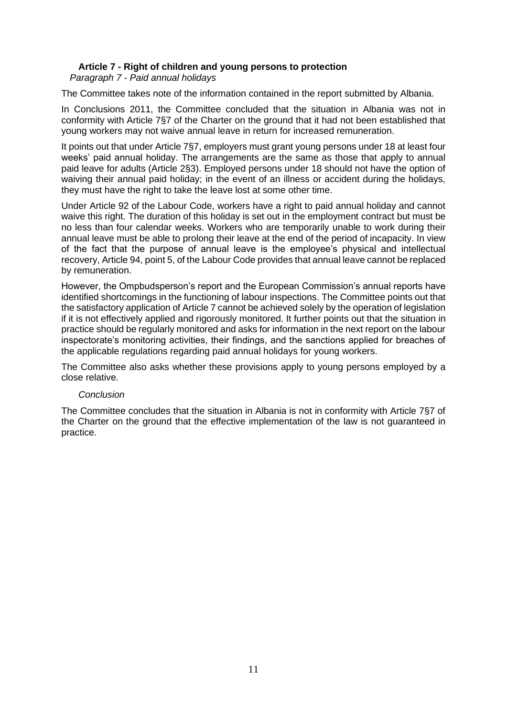*Paragraph 7 - Paid annual holidays*

The Committee takes note of the information contained in the report submitted by Albania.

In Conclusions 2011, the Committee concluded that the situation in Albania was not in conformity with Article 7§7 of the Charter on the ground that it had not been established that young workers may not waive annual leave in return for increased remuneration.

It points out that under Article 7§7, employers must grant young persons under 18 at least four weeks' paid annual holiday. The arrangements are the same as those that apply to annual paid leave for adults (Article 2§3). Employed persons under 18 should not have the option of waiving their annual paid holiday; in the event of an illness or accident during the holidays, they must have the right to take the leave lost at some other time.

Under Article 92 of the Labour Code, workers have a right to paid annual holiday and cannot waive this right. The duration of this holiday is set out in the employment contract but must be no less than four calendar weeks. Workers who are temporarily unable to work during their annual leave must be able to prolong their leave at the end of the period of incapacity. In view of the fact that the purpose of annual leave is the employee's physical and intellectual recovery, Article 94, point 5, of the Labour Code provides that annual leave cannot be replaced by remuneration.

However, the Ompbudsperson's report and the European Commission's annual reports have identified shortcomings in the functioning of labour inspections. The Committee points out that the satisfactory application of Article 7 cannot be achieved solely by the operation of legislation if it is not effectively applied and rigorously monitored. It further points out that the situation in practice should be regularly monitored and asks for information in the next report on the labour inspectorate's monitoring activities, their findings, and the sanctions applied for breaches of the applicable regulations regarding paid annual holidays for young workers.

The Committee also asks whether these provisions apply to young persons employed by a close relative.

# *Conclusion*

The Committee concludes that the situation in Albania is not in conformity with Article 7§7 of the Charter on the ground that the effective implementation of the law is not guaranteed in practice.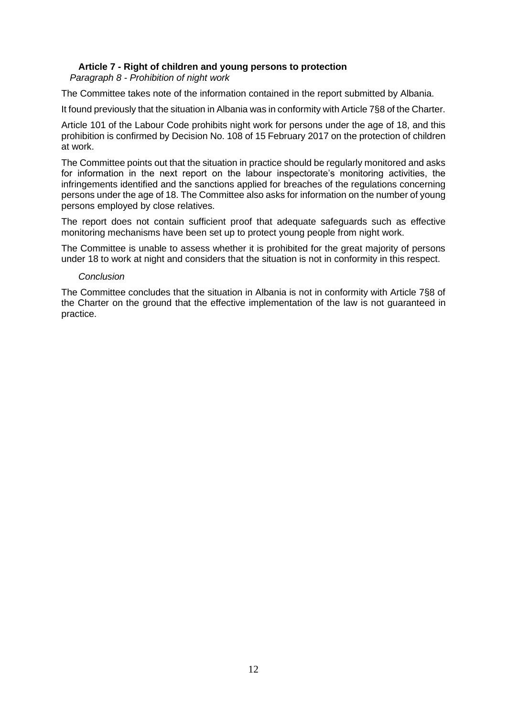*Paragraph 8 - Prohibition of night work*

The Committee takes note of the information contained in the report submitted by Albania.

It found previously that the situation in Albania was in conformity with Article 7§8 of the Charter.

Article 101 of the Labour Code prohibits night work for persons under the age of 18, and this prohibition is confirmed by Decision No. 108 of 15 February 2017 on the protection of children at work.

The Committee points out that the situation in practice should be regularly monitored and asks for information in the next report on the labour inspectorate's monitoring activities, the infringements identified and the sanctions applied for breaches of the regulations concerning persons under the age of 18. The Committee also asks for information on the number of young persons employed by close relatives.

The report does not contain sufficient proof that adequate safeguards such as effective monitoring mechanisms have been set up to protect young people from night work.

The Committee is unable to assess whether it is prohibited for the great majority of persons under 18 to work at night and considers that the situation is not in conformity in this respect.

# *Conclusion*

The Committee concludes that the situation in Albania is not in conformity with Article 7§8 of the Charter on the ground that the effective implementation of the law is not guaranteed in practice.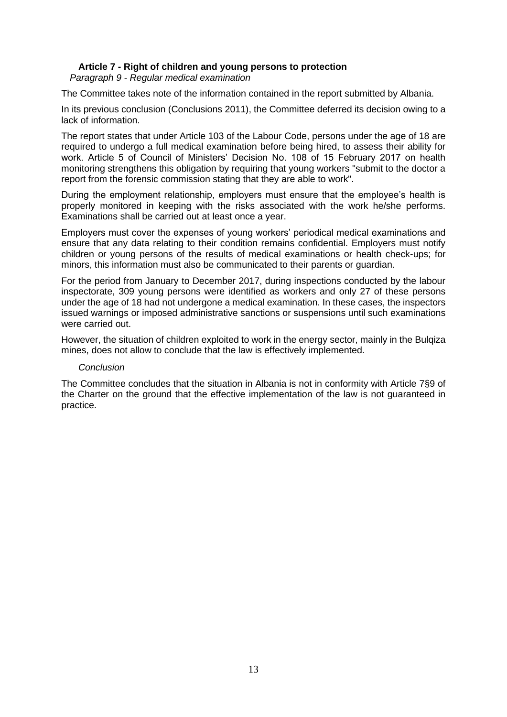*Paragraph 9 - Regular medical examination*

The Committee takes note of the information contained in the report submitted by Albania.

In its previous conclusion (Conclusions 2011), the Committee deferred its decision owing to a lack of information.

The report states that under Article 103 of the Labour Code, persons under the age of 18 are required to undergo a full medical examination before being hired, to assess their ability for work. Article 5 of Council of Ministers' Decision No. 108 of 15 February 2017 on health monitoring strengthens this obligation by requiring that young workers "submit to the doctor a report from the forensic commission stating that they are able to work".

During the employment relationship, employers must ensure that the employee's health is properly monitored in keeping with the risks associated with the work he/she performs. Examinations shall be carried out at least once a year.

Employers must cover the expenses of young workers' periodical medical examinations and ensure that any data relating to their condition remains confidential. Employers must notify children or young persons of the results of medical examinations or health check-ups; for minors, this information must also be communicated to their parents or guardian.

For the period from January to December 2017, during inspections conducted by the labour inspectorate, 309 young persons were identified as workers and only 27 of these persons under the age of 18 had not undergone a medical examination. In these cases, the inspectors issued warnings or imposed administrative sanctions or suspensions until such examinations were carried out.

However, the situation of children exploited to work in the energy sector, mainly in the Bulqiza mines, does not allow to conclude that the law is effectively implemented.

#### *Conclusion*

The Committee concludes that the situation in Albania is not in conformity with Article 7§9 of the Charter on the ground that the effective implementation of the law is not guaranteed in practice.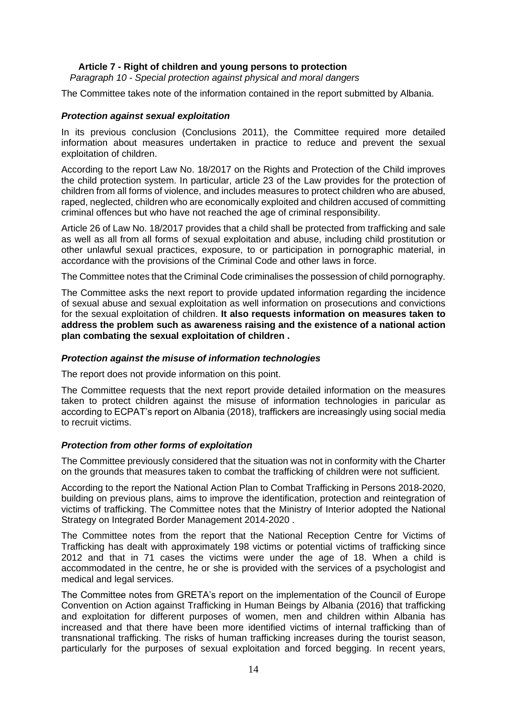*Paragraph 10 - Special protection against physical and moral dangers*

The Committee takes note of the information contained in the report submitted by Albania.

# *Protection against sexual exploitation*

In its previous conclusion (Conclusions 2011), the Committee required more detailed information about measures undertaken in practice to reduce and prevent the sexual exploitation of children.

According to the report Law No. 18/2017 on the Rights and Protection of the Child improves the child protection system. In particular, article 23 of the Law provides for the protection of children from all forms of violence, and includes measures to protect children who are abused, raped, neglected, children who are economically exploited and children accused of committing criminal offences but who have not reached the age of criminal responsibility.

Article 26 of Law No. 18/2017 provides that a child shall be protected from trafficking and sale as well as all from all forms of sexual exploitation and abuse, including child prostitution or other unlawful sexual practices, exposure, to or participation in pornographic material, in accordance with the provisions of the Criminal Code and other laws in force.

The Committee notes that the Criminal Code criminalises the possession of child pornography.

The Committee asks the next report to provide updated information regarding the incidence of sexual abuse and sexual exploitation as well information on prosecutions and convictions for the sexual exploitation of children. **It also requests information on measures taken to address the problem such as awareness raising and the existence of a national action plan combating the sexual exploitation of children .**

# *Protection against the misuse of information technologies*

The report does not provide information on this point.

The Committee requests that the next report provide detailed information on the measures taken to protect children against the misuse of information technologies in paricular as according to ECPAT's report on Albania (2018), traffickers are increasingly using social media to recruit victims.

#### *Protection from other forms of exploitation*

The Committee previously considered that the situation was not in conformity with the Charter on the grounds that measures taken to combat the trafficking of children were not sufficient.

According to the report the National Action Plan to Combat Trafficking in Persons 2018-2020, building on previous plans, aims to improve the identification, protection and reintegration of victims of trafficking. The Committee notes that the Ministry of Interior adopted the National Strategy on Integrated Border Management 2014-2020 .

The Committee notes from the report that the National Reception Centre for Victims of Trafficking has dealt with approximately 198 victims or potential victims of trafficking since 2012 and that in 71 cases the victims were under the age of 18. When a child is accommodated in the centre, he or she is provided with the services of a psychologist and medical and legal services.

The Committee notes from GRETA's report on the implementation of the Council of Europe Convention on Action against Trafficking in Human Beings by Albania (2016) that trafficking and exploitation for different purposes of women, men and children within Albania has increased and that there have been more identified victims of internal trafficking than of transnational trafficking. The risks of human trafficking increases during the tourist season, particularly for the purposes of sexual exploitation and forced begging. In recent years,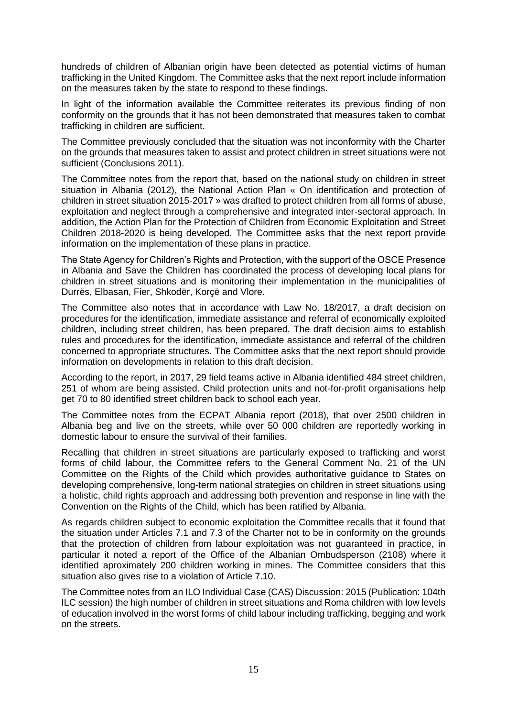hundreds of children of Albanian origin have been detected as potential victims of human trafficking in the United Kingdom. The Committee asks that the next report include information on the measures taken by the state to respond to these findings.

In light of the information available the Committee reiterates its previous finding of non conformity on the grounds that it has not been demonstrated that measures taken to combat trafficking in children are sufficient.

The Committee previously concluded that the situation was not inconformity with the Charter on the grounds that measures taken to assist and protect children in street situations were not sufficient (Conclusions 2011).

The Committee notes from the report that, based on the national study on children in street situation in Albania (2012), the National Action Plan « On identification and protection of children in street situation 2015-2017 » was drafted to protect children from all forms of abuse, exploitation and neglect through a comprehensive and integrated inter-sectoral approach. In addition, the Action Plan for the Protection of Children from Economic Exploitation and Street Children 2018-2020 is being developed. The Committee asks that the next report provide information on the implementation of these plans in practice.

The State Agency for Children's Rights and Protection, with the support of the OSCE Presence in Albania and Save the Children has coordinated the process of developing local plans for children in street situations and is monitoring their implementation in the municipalities of Durrës, Elbasan, Fier, Shkodër, Korçë and Vlore.

The Committee also notes that in accordance with Law No. 18/2017, a draft decision on procedures for the identification, immediate assistance and referral of economically exploited children, including street children, has been prepared. The draft decision aims to establish rules and procedures for the identification, immediate assistance and referral of the children concerned to appropriate structures. The Committee asks that the next report should provide information on developments in relation to this draft decision.

According to the report, in 2017, 29 field teams active in Albania identified 484 street children, 251 of whom are being assisted. Child protection units and not-for-profit organisations help get 70 to 80 identified street children back to school each year.

The Committee notes from the ECPAT Albania report (2018), that over 2500 children in Albania beg and live on the streets, while over 50 000 children are reportedly working in domestic labour to ensure the survival of their families.

Recalling that children in street situations are particularly exposed to trafficking and worst forms of child labour, the Committee refers to the General Comment No. 21 of the UN Committee on the Rights of the Child which provides authoritative guidance to States on developing comprehensive, long-term national strategies on children in street situations using a holistic, child rights approach and addressing both prevention and response in line with the Convention on the Rights of the Child, which has been ratified by Albania.

As regards children subject to economic exploitation the Committee recalls that it found that the situation under Articles 7.1 and 7.3 of the Charter not to be in conformity on the grounds that the protection of children from labour exploitation was not guaranteed in practice, in particular it noted a report of the Office of the Albanian Ombudsperson (2108) where it identified aproximately 200 children working in mines. The Committee considers that this situation also gives rise to a violation of Article 7.10.

The Committee notes from an ILO Individual Case (CAS) Discussion: 2015 (Publication: 104th ILC session) the high number of children in street situations and Roma children with low levels of education involved in the worst forms of child labour including trafficking, begging and work on the streets.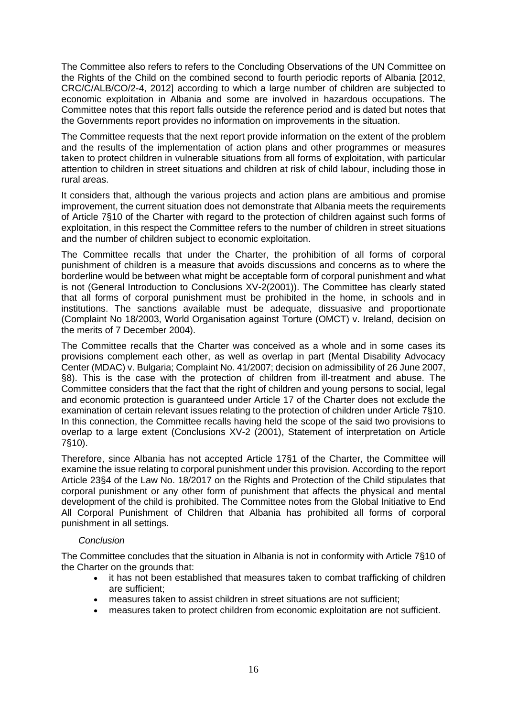The Committee also refers to refers to the Concluding Observations of the UN Committee on the Rights of the Child on the combined second to fourth periodic reports of Albania [2012, CRC/C/ALB/CO/2-4, 2012] according to which a large number of children are subjected to economic exploitation in Albania and some are involved in hazardous occupations. The Committee notes that this report falls outside the reference period and is dated but notes that the Governments report provides no information on improvements in the situation.

The Committee requests that the next report provide information on the extent of the problem and the results of the implementation of action plans and other programmes or measures taken to protect children in vulnerable situations from all forms of exploitation, with particular attention to children in street situations and children at risk of child labour, including those in rural areas.

It considers that, although the various projects and action plans are ambitious and promise improvement, the current situation does not demonstrate that Albania meets the requirements of Article 7§10 of the Charter with regard to the protection of children against such forms of exploitation, in this respect the Committee refers to the number of children in street situations and the number of children subject to economic exploitation.

The Committee recalls that under the Charter, the prohibition of all forms of corporal punishment of children is a measure that avoids discussions and concerns as to where the borderline would be between what might be acceptable form of corporal punishment and what is not (General Introduction to Conclusions XV-2(2001)). The Committee has clearly stated that all forms of corporal punishment must be prohibited in the home, in schools and in institutions. The sanctions available must be adequate, dissuasive and proportionate (Complaint No 18/2003, World Organisation against Torture (OMCT) v. Ireland, decision on the merits of 7 December 2004).

The Committee recalls that the Charter was conceived as a whole and in some cases its provisions complement each other, as well as overlap in part (Mental Disability Advocacy Center (MDAC) v. Bulgaria; Complaint No. 41/2007; decision on admissibility of 26 June 2007, §8). This is the case with the protection of children from ill-treatment and abuse. The Committee considers that the fact that the right of children and young persons to social, legal and economic protection is guaranteed under Article 17 of the Charter does not exclude the examination of certain relevant issues relating to the protection of children under Article 7§10. In this connection, the Committee recalls having held the scope of the said two provisions to overlap to a large extent (Conclusions XV-2 (2001), Statement of interpretation on Article 7§10).

Therefore, since Albania has not accepted Article 17§1 of the Charter, the Committee will examine the issue relating to corporal punishment under this provision. According to the report Article 23§4 of the Law No. 18/2017 on the Rights and Protection of the Child stipulates that corporal punishment or any other form of punishment that affects the physical and mental development of the child is prohibited. The Committee notes from the Global Initiative to End All Corporal Punishment of Children that Albania has prohibited all forms of corporal punishment in all settings.

# *Conclusion*

The Committee concludes that the situation in Albania is not in conformity with Article 7§10 of the Charter on the grounds that:

- it has not been established that measures taken to combat trafficking of children are sufficient;
- measures taken to assist children in street situations are not sufficient;
- measures taken to protect children from economic exploitation are not sufficient.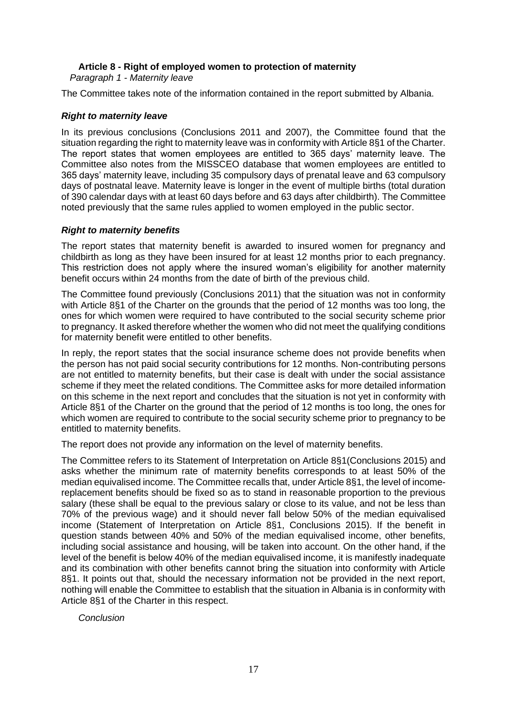*Paragraph 1 - Maternity leave*

The Committee takes note of the information contained in the report submitted by Albania.

# *Right to maternity leave*

In its previous conclusions (Conclusions 2011 and 2007), the Committee found that the situation regarding the right to maternity leave was in conformity with Article 8§1 of the Charter. The report states that women employees are entitled to 365 days' maternity leave. The Committee also notes from the MISSCEO database that women employees are entitled to 365 days' maternity leave, including 35 compulsory days of prenatal leave and 63 compulsory days of postnatal leave. Maternity leave is longer in the event of multiple births (total duration of 390 calendar days with at least 60 days before and 63 days after childbirth). The Committee noted previously that the same rules applied to women employed in the public sector.

# *Right to maternity benefits*

The report states that maternity benefit is awarded to insured women for pregnancy and childbirth as long as they have been insured for at least 12 months prior to each pregnancy. This restriction does not apply where the insured woman's eligibility for another maternity benefit occurs within 24 months from the date of birth of the previous child.

The Committee found previously (Conclusions 2011) that the situation was not in conformity with Article 8§1 of the Charter on the grounds that the period of 12 months was too long, the ones for which women were required to have contributed to the social security scheme prior to pregnancy. It asked therefore whether the women who did not meet the qualifying conditions for maternity benefit were entitled to other benefits.

In reply, the report states that the social insurance scheme does not provide benefits when the person has not paid social security contributions for 12 months. Non-contributing persons are not entitled to maternity benefits, but their case is dealt with under the social assistance scheme if they meet the related conditions. The Committee asks for more detailed information on this scheme in the next report and concludes that the situation is not yet in conformity with Article 8§1 of the Charter on the ground that the period of 12 months is too long, the ones for which women are required to contribute to the social security scheme prior to pregnancy to be entitled to maternity benefits.

The report does not provide any information on the level of maternity benefits.

The Committee refers to its Statement of Interpretation on Article 8§1(Conclusions 2015) and asks whether the minimum rate of maternity benefits corresponds to at least 50% of the median equivalised income. The Committee recalls that, under Article 8§1, the level of incomereplacement benefits should be fixed so as to stand in reasonable proportion to the previous salary (these shall be equal to the previous salary or close to its value, and not be less than 70% of the previous wage) and it should never fall below 50% of the median equivalised income (Statement of Interpretation on Article 8§1, Conclusions 2015). If the benefit in question stands between 40% and 50% of the median equivalised income, other benefits, including social assistance and housing, will be taken into account. On the other hand, if the level of the benefit is below 40% of the median equivalised income, it is manifestly inadequate and its combination with other benefits cannot bring the situation into conformity with Article 8§1. It points out that, should the necessary information not be provided in the next report, nothing will enable the Committee to establish that the situation in Albania is in conformity with Article 8§1 of the Charter in this respect.

*Conclusion*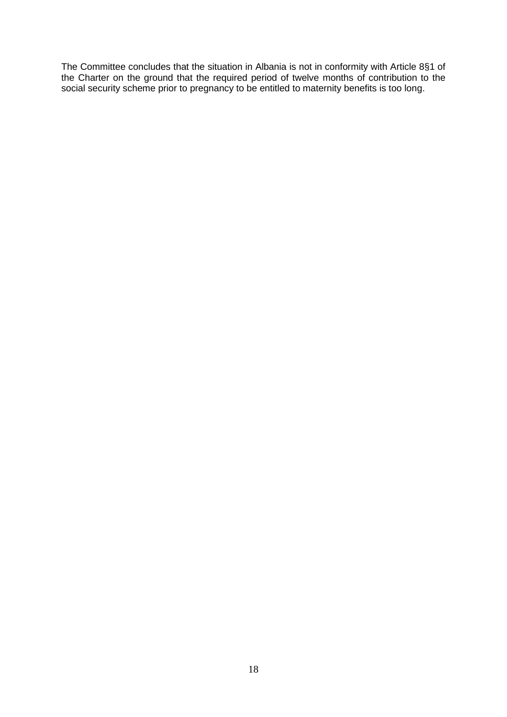The Committee concludes that the situation in Albania is not in conformity with Article 8§1 of the Charter on the ground that the required period of twelve months of contribution to the social security scheme prior to pregnancy to be entitled to maternity benefits is too long.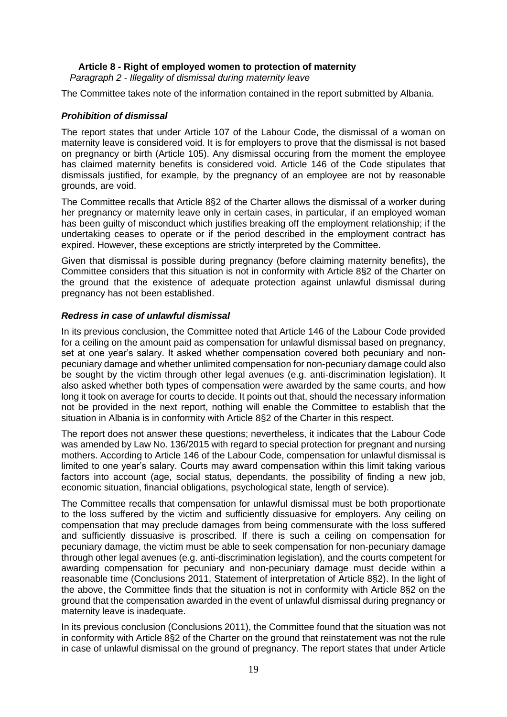*Paragraph 2 - Illegality of dismissal during maternity leave*

The Committee takes note of the information contained in the report submitted by Albania.

# *Prohibition of dismissal*

The report states that under Article 107 of the Labour Code, the dismissal of a woman on maternity leave is considered void. It is for employers to prove that the dismissal is not based on pregnancy or birth (Article 105). Any dismissal occuring from the moment the employee has claimed maternity benefits is considered void. Article 146 of the Code stipulates that dismissals justified, for example, by the pregnancy of an employee are not by reasonable grounds, are void.

The Committee recalls that Article 8§2 of the Charter allows the dismissal of a worker during her pregnancy or maternity leave only in certain cases, in particular, if an employed woman has been guilty of misconduct which justifies breaking off the employment relationship; if the undertaking ceases to operate or if the period described in the employment contract has expired. However, these exceptions are strictly interpreted by the Committee.

Given that dismissal is possible during pregnancy (before claiming maternity benefits), the Committee considers that this situation is not in conformity with Article 8§2 of the Charter on the ground that the existence of adequate protection against unlawful dismissal during pregnancy has not been established.

# *Redress in case of unlawful dismissal*

In its previous conclusion, the Committee noted that Article 146 of the Labour Code provided for a ceiling on the amount paid as compensation for unlawful dismissal based on pregnancy, set at one year's salary. It asked whether compensation covered both pecuniary and nonpecuniary damage and whether unlimited compensation for non-pecuniary damage could also be sought by the victim through other legal avenues (e.g. anti-discrimination legislation). It also asked whether both types of compensation were awarded by the same courts, and how long it took on average for courts to decide. It points out that, should the necessary information not be provided in the next report, nothing will enable the Committee to establish that the situation in Albania is in conformity with Article 8§2 of the Charter in this respect.

The report does not answer these questions; nevertheless, it indicates that the Labour Code was amended by Law No. 136/2015 with regard to special protection for pregnant and nursing mothers. According to Article 146 of the Labour Code, compensation for unlawful dismissal is limited to one year's salary. Courts may award compensation within this limit taking various factors into account (age, social status, dependants, the possibility of finding a new job, economic situation, financial obligations, psychological state, length of service).

The Committee recalls that compensation for unlawful dismissal must be both proportionate to the loss suffered by the victim and sufficiently dissuasive for employers. Any ceiling on compensation that may preclude damages from being commensurate with the loss suffered and sufficiently dissuasive is proscribed. If there is such a ceiling on compensation for pecuniary damage, the victim must be able to seek compensation for non-pecuniary damage through other legal avenues (e.g. anti-discrimination legislation), and the courts competent for awarding compensation for pecuniary and non-pecuniary damage must decide within a reasonable time (Conclusions 2011, Statement of interpretation of Article 8§2). In the light of the above, the Committee finds that the situation is not in conformity with Article 8§2 on the ground that the compensation awarded in the event of unlawful dismissal during pregnancy or maternity leave is inadequate.

In its previous conclusion (Conclusions 2011), the Committee found that the situation was not in conformity with Article 8§2 of the Charter on the ground that reinstatement was not the rule in case of unlawful dismissal on the ground of pregnancy. The report states that under Article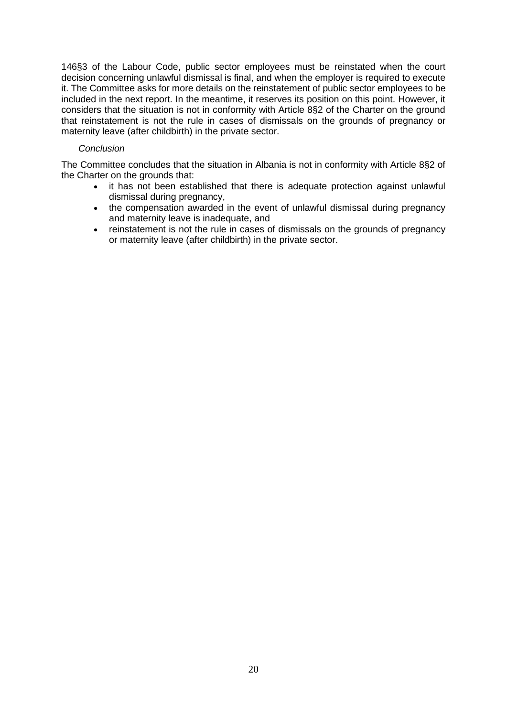146§3 of the Labour Code, public sector employees must be reinstated when the court decision concerning unlawful dismissal is final, and when the employer is required to execute it. The Committee asks for more details on the reinstatement of public sector employees to be included in the next report. In the meantime, it reserves its position on this point. However, it considers that the situation is not in conformity with Article 8§2 of the Charter on the ground that reinstatement is not the rule in cases of dismissals on the grounds of pregnancy or maternity leave (after childbirth) in the private sector.

# *Conclusion*

The Committee concludes that the situation in Albania is not in conformity with Article 8§2 of the Charter on the grounds that:

- it has not been established that there is adequate protection against unlawful dismissal during pregnancy,
- the compensation awarded in the event of unlawful dismissal during pregnancy and maternity leave is inadequate, and
- reinstatement is not the rule in cases of dismissals on the grounds of pregnancy or maternity leave (after childbirth) in the private sector.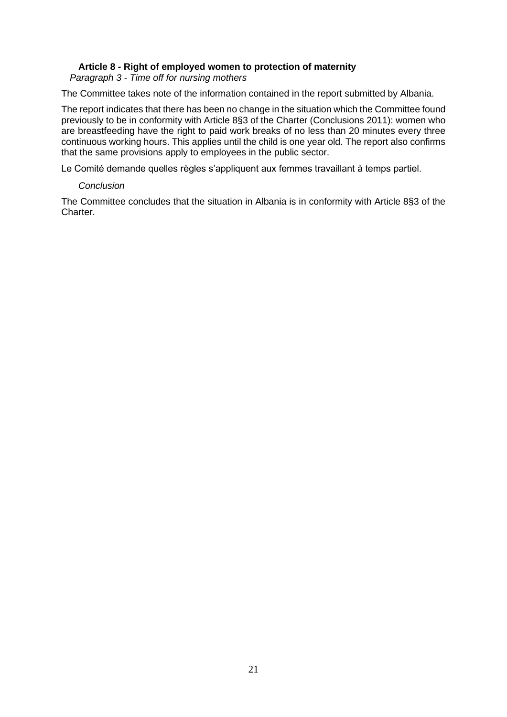*Paragraph 3 - Time off for nursing mothers*

The Committee takes note of the information contained in the report submitted by Albania.

The report indicates that there has been no change in the situation which the Committee found previously to be in conformity with Article 8§3 of the Charter (Conclusions 2011): women who are breastfeeding have the right to paid work breaks of no less than 20 minutes every three continuous working hours. This applies until the child is one year old. The report also confirms that the same provisions apply to employees in the public sector.

Le Comité demande quelles règles s'appliquent aux femmes travaillant à temps partiel.

# *Conclusion*

The Committee concludes that the situation in Albania is in conformity with Article 8§3 of the Charter.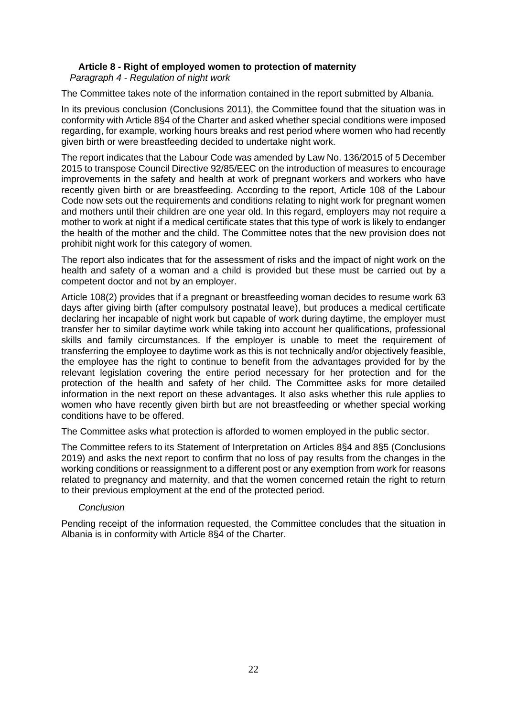*Paragraph 4 - Regulation of night work*

The Committee takes note of the information contained in the report submitted by Albania.

In its previous conclusion (Conclusions 2011), the Committee found that the situation was in conformity with Article 8§4 of the Charter and asked whether special conditions were imposed regarding, for example, working hours breaks and rest period where women who had recently given birth or were breastfeeding decided to undertake night work.

The report indicates that the Labour Code was amended by Law No. 136/2015 of 5 December 2015 to transpose Council Directive 92/85/EEC on the introduction of measures to encourage improvements in the safety and health at work of pregnant workers and workers who have recently given birth or are breastfeeding. According to the report, Article 108 of the Labour Code now sets out the requirements and conditions relating to night work for pregnant women and mothers until their children are one year old. In this regard, employers may not require a mother to work at night if a medical certificate states that this type of work is likely to endanger the health of the mother and the child. The Committee notes that the new provision does not prohibit night work for this category of women.

The report also indicates that for the assessment of risks and the impact of night work on the health and safety of a woman and a child is provided but these must be carried out by a competent doctor and not by an employer.

Article 108(2) provides that if a pregnant or breastfeeding woman decides to resume work 63 days after giving birth (after compulsory postnatal leave), but produces a medical certificate declaring her incapable of night work but capable of work during daytime, the employer must transfer her to similar daytime work while taking into account her qualifications, professional skills and family circumstances. If the employer is unable to meet the requirement of transferring the employee to daytime work as this is not technically and/or objectively feasible, the employee has the right to continue to benefit from the advantages provided for by the relevant legislation covering the entire period necessary for her protection and for the protection of the health and safety of her child. The Committee asks for more detailed information in the next report on these advantages. It also asks whether this rule applies to women who have recently given birth but are not breastfeeding or whether special working conditions have to be offered.

The Committee asks what protection is afforded to women employed in the public sector.

The Committee refers to its Statement of Interpretation on Articles 8§4 and 8§5 (Conclusions 2019) and asks the next report to confirm that no loss of pay results from the changes in the working conditions or reassignment to a different post or any exemption from work for reasons related to pregnancy and maternity, and that the women concerned retain the right to return to their previous employment at the end of the protected period.

# *Conclusion*

Pending receipt of the information requested, the Committee concludes that the situation in Albania is in conformity with Article 8§4 of the Charter.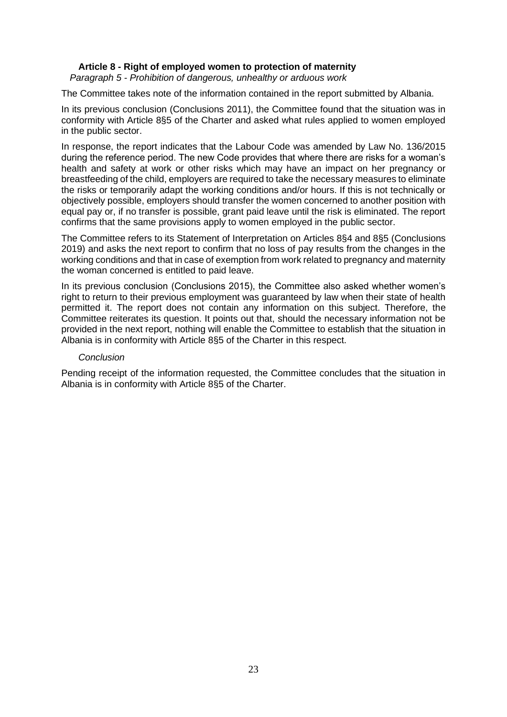*Paragraph 5 - Prohibition of dangerous, unhealthy or arduous work*

The Committee takes note of the information contained in the report submitted by Albania.

In its previous conclusion (Conclusions 2011), the Committee found that the situation was in conformity with Article 8§5 of the Charter and asked what rules applied to women employed in the public sector.

In response, the report indicates that the Labour Code was amended by Law No. 136/2015 during the reference period. The new Code provides that where there are risks for a woman's health and safety at work or other risks which may have an impact on her pregnancy or breastfeeding of the child, employers are required to take the necessary measures to eliminate the risks or temporarily adapt the working conditions and/or hours. If this is not technically or objectively possible, employers should transfer the women concerned to another position with equal pay or, if no transfer is possible, grant paid leave until the risk is eliminated. The report confirms that the same provisions apply to women employed in the public sector.

The Committee refers to its Statement of Interpretation on Articles 8§4 and 8§5 (Conclusions 2019) and asks the next report to confirm that no loss of pay results from the changes in the working conditions and that in case of exemption from work related to pregnancy and maternity the woman concerned is entitled to paid leave.

In its previous conclusion (Conclusions 2015), the Committee also asked whether women's right to return to their previous employment was guaranteed by law when their state of health permitted it. The report does not contain any information on this subject. Therefore, the Committee reiterates its question. It points out that, should the necessary information not be provided in the next report, nothing will enable the Committee to establish that the situation in Albania is in conformity with Article 8§5 of the Charter in this respect.

#### *Conclusion*

Pending receipt of the information requested, the Committee concludes that the situation in Albania is in conformity with Article 8§5 of the Charter.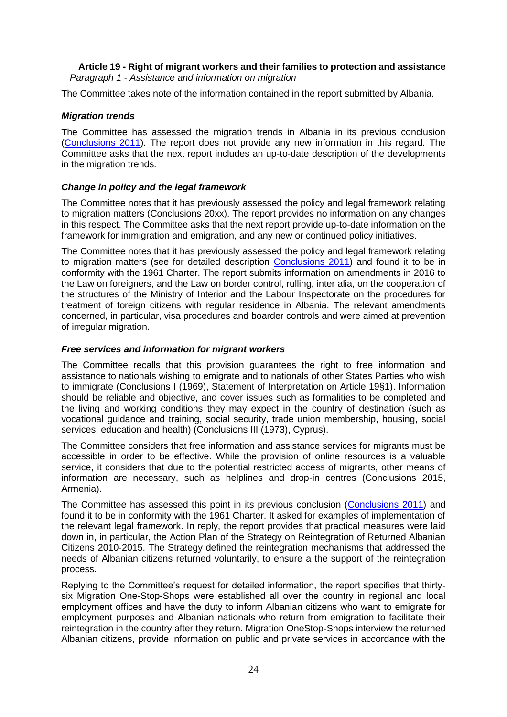# **Article 19 - Right of migrant workers and their families to protection and assistance** *Paragraph 1 - Assistance and information on migration*

The Committee takes note of the information contained in the report submitted by Albania.

# *Migration trends*

The Committee has assessed the migration trends in Albania in its previous conclusion [\(Conclusions 2011\)](http://hudoc.esc.coe.int/eng/?i=2011/def/ALB/19/1/EN). The report does not provide any new information in this regard. The Committee asks that the next report includes an up-to-date description of the developments in the migration trends.

# *Change in policy and the legal framework*

The Committee notes that it has previously assessed the policy and legal framework relating to migration matters (Conclusions 20xx). The report provides no information on any changes in this respect. The Committee asks that the next report provide up-to-date information on the framework for immigration and emigration, and any new or continued policy initiatives.

The Committee notes that it has previously assessed the policy and legal framework relating to migration matters (see for detailed description [Conclusions 2011\)](http://hudoc.esc.coe.int/eng/?i=2011/def/ALB/19/1/EN) and found it to be in conformity with the 1961 Charter. The report submits information on amendments in 2016 to the Law on foreigners, and the Law on border control, rulling, inter alia, on the cooperation of the structures of the Ministry of Interior and the Labour Inspectorate on the procedures for treatment of foreign citizens with regular residence in Albania. The relevant amendments concerned, in particular, visa procedures and boarder controls and were aimed at prevention of irregular migration.

# *Free services and information for migrant workers*

The Committee recalls that this provision guarantees the right to free information and assistance to nationals wishing to emigrate and to nationals of other States Parties who wish to immigrate (Conclusions I (1969), Statement of Interpretation on Article 19§1). Information should be reliable and objective, and cover issues such as formalities to be completed and the living and working conditions they may expect in the country of destination (such as vocational guidance and training, social security, trade union membership, housing, social services, education and health) (Conclusions III (1973), Cyprus).

The Committee considers that free information and assistance services for migrants must be accessible in order to be effective. While the provision of online resources is a valuable service, it considers that due to the potential restricted access of migrants, other means of information are necessary, such as helplines and drop-in centres (Conclusions 2015, Armenia).

The Committee has assessed this point in its previous conclusion [\(Conclusions 2011\)](http://hudoc.esc.coe.int/eng/?i=2011/def/ALB/19/1/EN) and found it to be in conformity with the 1961 Charter. It asked for examples of implementation of the relevant legal framework. In reply, the report provides that practical measures were laid down in, in particular, the Action Plan of the Strategy on Reintegration of Returned Albanian Citizens 2010-2015. The Strategy defined the reintegration mechanisms that addressed the needs of Albanian citizens returned voluntarily, to ensure a the support of the reintegration process.

Replying to the Committee's request for detailed information, the report specifies that thirtysix Migration One-Stop-Shops were established all over the country in regional and local employment offices and have the duty to inform Albanian citizens who want to emigrate for employment purposes and Albanian nationals who return from emigration to facilitate their reintegration in the country after they return. Migration OneStop-Shops interview the returned Albanian citizens, provide information on public and private services in accordance with the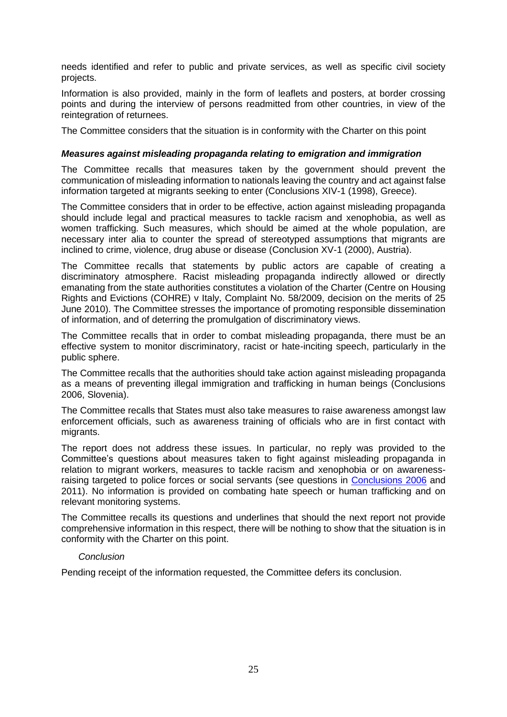needs identified and refer to public and private services, as well as specific civil society projects.

Information is also provided, mainly in the form of leaflets and posters, at border crossing points and during the interview of persons readmitted from other countries, in view of the reintegration of returnees.

The Committee considers that the situation is in conformity with the Charter on this point

#### *Measures against misleading propaganda relating to emigration and immigration*

The Committee recalls that measures taken by the government should prevent the communication of misleading information to nationals leaving the country and act against false information targeted at migrants seeking to enter (Conclusions XIV-1 (1998), Greece).

The Committee considers that in order to be effective, action against misleading propaganda should include legal and practical measures to tackle racism and xenophobia, as well as women trafficking. Such measures, which should be aimed at the whole population, are necessary inter alia to counter the spread of stereotyped assumptions that migrants are inclined to crime, violence, drug abuse or disease (Conclusion XV-1 (2000), Austria).

The Committee recalls that statements by public actors are capable of creating a discriminatory atmosphere. Racist misleading propaganda indirectly allowed or directly emanating from the state authorities constitutes a violation of the Charter (Centre on Housing Rights and Evictions (COHRE) v Italy, Complaint No. 58/2009, decision on the merits of 25 June 2010). The Committee stresses the importance of promoting responsible dissemination of information, and of deterring the promulgation of discriminatory views.

The Committee recalls that in order to combat misleading propaganda, there must be an effective system to monitor discriminatory, racist or hate-inciting speech, particularly in the public sphere.

The Committee recalls that the authorities should take action against misleading propaganda as a means of preventing illegal immigration and trafficking in human beings (Conclusions 2006, Slovenia).

The Committee recalls that States must also take measures to raise awareness amongst law enforcement officials, such as awareness training of officials who are in first contact with migrants.

The report does not address these issues. In particular, no reply was provided to the Committee's questions about measures taken to fight against misleading propaganda in relation to migrant workers, measures to tackle racism and xenophobia or on awarenessraising targeted to police forces or social servants (see questions in [Conclusions 2006](https://hudoc.esc.coe.int/eng/#{%22tabview%22:[%22document%22],%22ESCDcIdentifier%22:[%222006/def/ALB/19/1/EN%22]}) and 2011). No information is provided on combating hate speech or human trafficking and on relevant monitoring systems.

The Committee recalls its questions and underlines that should the next report not provide comprehensive information in this respect, there will be nothing to show that the situation is in conformity with the Charter on this point.

#### *Conclusion*

Pending receipt of the information requested, the Committee defers its conclusion.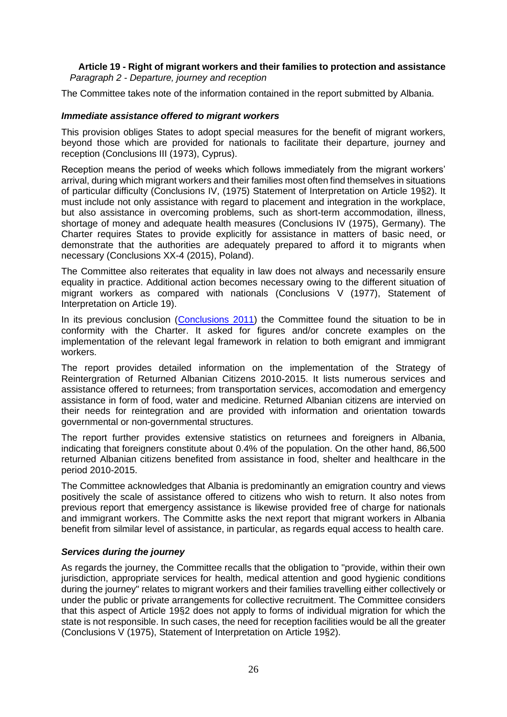### **Article 19 - Right of migrant workers and their families to protection and assistance** *Paragraph 2 - Departure, journey and reception*

The Committee takes note of the information contained in the report submitted by Albania.

# *Immediate assistance offered to migrant workers*

This provision obliges States to adopt special measures for the benefit of migrant workers, beyond those which are provided for nationals to facilitate their departure, journey and reception (Conclusions III (1973), Cyprus).

Reception means the period of weeks which follows immediately from the migrant workers' arrival, during which migrant workers and their families most often find themselves in situations of particular difficulty (Conclusions IV, (1975) Statement of Interpretation on Article 19§2). It must include not only assistance with regard to placement and integration in the workplace, but also assistance in overcoming problems, such as short-term accommodation, illness, shortage of money and adequate health measures (Conclusions IV (1975), Germany). The Charter requires States to provide explicitly for assistance in matters of basic need, or demonstrate that the authorities are adequately prepared to afford it to migrants when necessary (Conclusions XX-4 (2015), Poland).

The Committee also reiterates that equality in law does not always and necessarily ensure equality in practice. Additional action becomes necessary owing to the different situation of migrant workers as compared with nationals (Conclusions V (1977), Statement of Interpretation on Article 19).

In its previous conclusion [\(Conclusions 2011\)](http://hudoc.esc.coe.int/eng/?i=2011/def/ALB/19/2/EN) the Committee found the situation to be in conformity with the Charter. It asked for figures and/or concrete examples on the implementation of the relevant legal framework in relation to both emigrant and immigrant workers.

The report provides detailed information on the implementation of the Strategy of Reintergration of Returned Albanian Citizens 2010-2015. It lists numerous services and assistance offered to returnees; from transportation services, accomodation and emergency assistance in form of food, water and medicine. Returned Albanian citizens are intervied on their needs for reintegration and are provided with information and orientation towards governmental or non-governmental structures.

The report further provides extensive statistics on returnees and foreigners in Albania, indicating that foreigners constitute about 0.4% of the population. On the other hand, 86,500 returned Albanian citizens benefited from assistance in food, shelter and healthcare in the period 2010-2015.

The Committee acknowledges that Albania is predominantly an emigration country and views positively the scale of assistance offered to citizens who wish to return. It also notes from previous report that emergency assistance is likewise provided free of charge for nationals and immigrant workers. The Committe asks the next report that migrant workers in Albania benefit from silmilar level of assistance, in particular, as regards equal access to health care.

#### *Services during the journey*

As regards the journey, the Committee recalls that the obligation to "provide, within their own jurisdiction, appropriate services for health, medical attention and good hygienic conditions during the journey" relates to migrant workers and their families travelling either collectively or under the public or private arrangements for collective recruitment. The Committee considers that this aspect of Article 19§2 does not apply to forms of individual migration for which the state is not responsible. In such cases, the need for reception facilities would be all the greater (Conclusions V (1975), Statement of Interpretation on Article 19§2).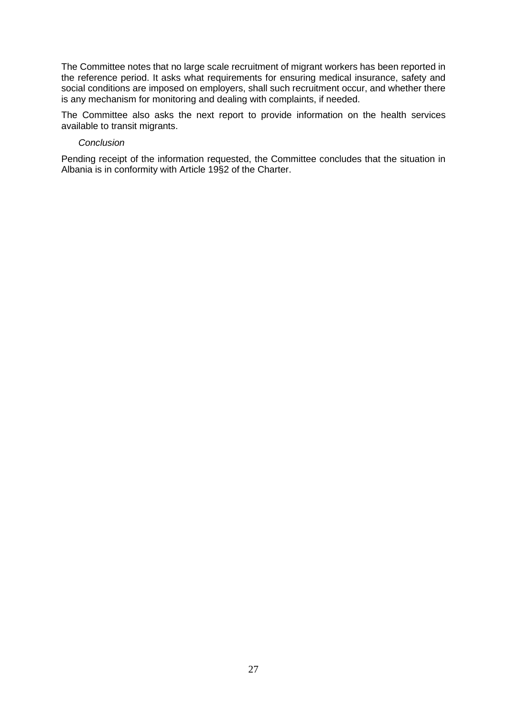The Committee notes that no large scale recruitment of migrant workers has been reported in the reference period. It asks what requirements for ensuring medical insurance, safety and social conditions are imposed on employers, shall such recruitment occur, and whether there is any mechanism for monitoring and dealing with complaints, if needed.

The Committee also asks the next report to provide information on the health services available to transit migrants.

#### *Conclusion*

Pending receipt of the information requested, the Committee concludes that the situation in Albania is in conformity with Article 19§2 of the Charter.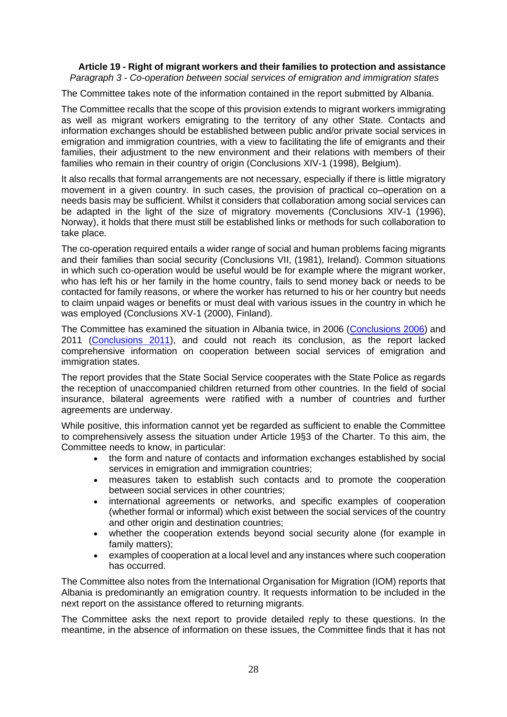#### **Article 19 - Right of migrant workers and their families to protection and assistance** *Paragraph 3 - Co-operation between social services of emigration and immigration states*

The Committee takes note of the information contained in the report submitted by Albania.

The Committee recalls that the scope of this provision extends to migrant workers immigrating as well as migrant workers emigrating to the territory of any other State. Contacts and information exchanges should be established between public and/or private social services in emigration and immigration countries, with a view to facilitating the life of emigrants and their families, their adjustment to the new environment and their relations with members of their families who remain in their country of origin (Conclusions XIV-1 (1998), Belgium).

It also recalls that formal arrangements are not necessary, especially if there is little migratory movement in a given country. In such cases, the provision of practical co–operation on a needs basis may be sufficient. Whilst it considers that collaboration among social services can be adapted in the light of the size of migratory movements (Conclusions XIV-1 (1996), Norway), it holds that there must still be established links or methods for such collaboration to take place.

The co-operation required entails a wider range of social and human problems facing migrants and their families than social security (Conclusions VII, (1981), Ireland). Common situations in which such co-operation would be useful would be for example where the migrant worker, who has left his or her family in the home country, fails to send money back or needs to be contacted for family reasons, or where the worker has returned to his or her country but needs to claim unpaid wages or benefits or must deal with various issues in the country in which he was employed (Conclusions XV-1 (2000), Finland).

The Committee has examined the situation in Albania twice, in 2006 [\(Conclusions 2006\)](http://hudoc.esc.coe.int/eng/?i=2006/def/ALB/19/3/EN) and 2011 [\(Conclusions 2011\)](https://hudoc.esc.coe.int/eng/#{%22tabview%22:[%22document%22],%22ESCDcIdentifier%22:[%222011/def/ALB/19/3/EN%22]}), and could not reach its conclusion, as the report lacked comprehensive information on cooperation between social services of emigration and immigration states.

The report provides that the State Social Service cooperates with the State Police as regards the reception of unaccompanied children returned from other countries. In the field of social insurance, bilateral agreements were ratified with a number of countries and further agreements are underway.

While positive, this information cannot yet be regarded as sufficient to enable the Committee to comprehensively assess the situation under Article 19§3 of the Charter. To this aim, the Committee needs to know, in particular:

- the form and nature of contacts and information exchanges established by social services in emigration and immigration countries;
- measures taken to establish such contacts and to promote the cooperation between social services in other countries;
- international agreements or networks, and specific examples of cooperation (whether formal or informal) which exist between the social services of the country and other origin and destination countries;
- whether the cooperation extends beyond social security alone (for example in family matters);
- examples of cooperation at a local level and any instances where such cooperation has occurred.

The Committee also notes from the International Organisation for Migration (IOM) reports that Albania is predominantly an emigration country. It requests information to be included in the next report on the assistance offered to returning migrants.

The Committee asks the next report to provide detailed reply to these questions. In the meantime, in the absence of information on these issues, the Committee finds that it has not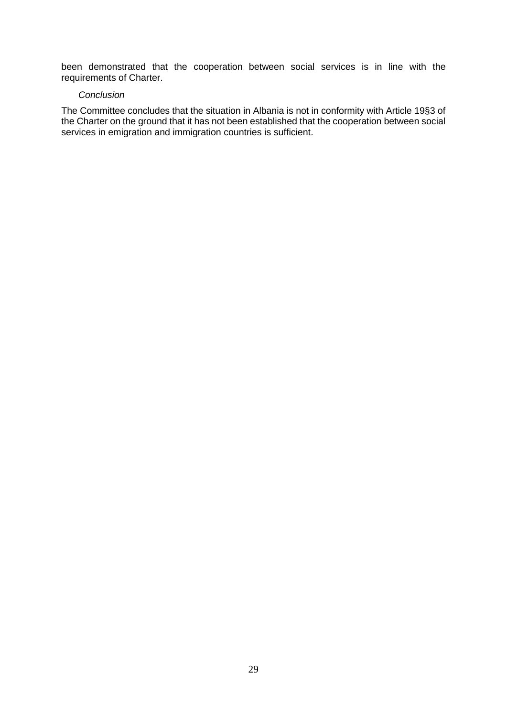been demonstrated that the cooperation between social services is in line with the requirements of Charter.

#### *Conclusion*

The Committee concludes that the situation in Albania is not in conformity with Article 19§3 of the Charter on the ground that it has not been established that the cooperation between social services in emigration and immigration countries is sufficient.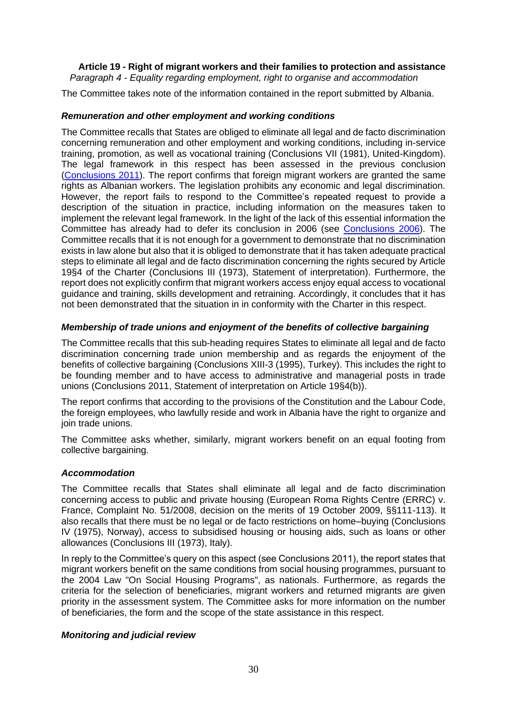# **Article 19 - Right of migrant workers and their families to protection and assistance**

*Paragraph 4 - Equality regarding employment, right to organise and accommodation*

The Committee takes note of the information contained in the report submitted by Albania.

# *Remuneration and other employment and working conditions*

The Committee recalls that States are obliged to eliminate all legal and de facto discrimination concerning remuneration and other employment and working conditions, including in-service training, promotion, as well as vocational training (Conclusions VII (1981), United-Kingdom). The legal framework in this respect has been assessed in the previous conclusion [\(Conclusions 2011\)](http://hudoc.esc.coe.int/eng/?i=2011/def/ALB/19/4/EN). The report confirms that foreign migrant workers are granted the same rights as Albanian workers. The legislation prohibits any economic and legal discrimination. However, the report fails to respond to the Committee's repeated request to provide a description of the situation in practice, including information on the measures taken to implement the relevant legal framework. In the light of the lack of this essential information the Committee has already had to defer its conclusion in 2006 (see [Conclusions 2006\)](http://hudoc.esc.coe.int/eng/?i=2006/def/ALB/19/4/EN). The Committee recalls that it is not enough for a government to demonstrate that no discrimination exists in law alone but also that it is obliged to demonstrate that it has taken adequate practical steps to eliminate all legal and de facto discrimination concerning the rights secured by Article 19§4 of the Charter (Conclusions III (1973), Statement of interpretation). Furthermore, the report does not explicitly confirm that migrant workers access enjoy equal access to vocational guidance and training, skills development and retraining. Accordingly, it concludes that it has not been demonstrated that the situation in in conformity with the Charter in this respect.

# *Membership of trade unions and enjoyment of the benefits of collective bargaining*

The Committee recalls that this sub-heading requires States to eliminate all legal and de facto discrimination concerning trade union membership and as regards the enjoyment of the benefits of collective bargaining (Conclusions XIII-3 (1995), Turkey). This includes the right to be founding member and to have access to administrative and managerial posts in trade unions (Conclusions 2011, Statement of interpretation on Article 19§4(b)).

The report confirms that according to the provisions of the Constitution and the Labour Code, the foreign employees, who lawfully reside and work in Albania have the right to organize and join trade unions.

The Committee asks whether, similarly, migrant workers benefit on an equal footing from collective bargaining.

# *Accommodation*

The Committee recalls that States shall eliminate all legal and de facto discrimination concerning access to public and private housing (European Roma Rights Centre (ERRC) v. France, Complaint No. 51/2008, decision on the merits of 19 October 2009, §§111-113). It also recalls that there must be no legal or de facto restrictions on home–buying (Conclusions IV (1975), Norway), access to subsidised housing or housing aids, such as loans or other allowances (Conclusions III (1973), Italy).

In reply to the Committee's query on this aspect (see Conclusions 2011), the report states that migrant workers benefit on the same conditions from social housing programmes, pursuant to the 2004 Law "On Social Housing Programs", as nationals. Furthermore, as regards the criteria for the selection of beneficiaries, migrant workers and returned migrants are given priority in the assessment system. The Committee asks for more information on the number of beneficiaries, the form and the scope of the state assistance in this respect.

# *Monitoring and judicial review*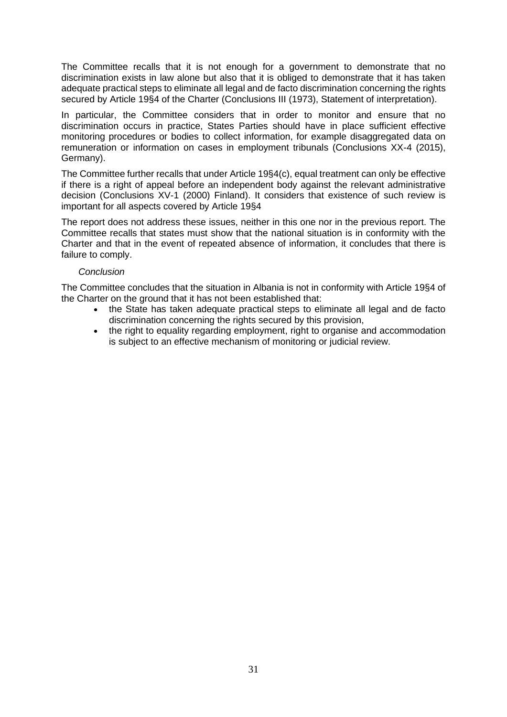The Committee recalls that it is not enough for a government to demonstrate that no discrimination exists in law alone but also that it is obliged to demonstrate that it has taken adequate practical steps to eliminate all legal and de facto discrimination concerning the rights secured by Article 19§4 of the Charter (Conclusions III (1973), Statement of interpretation).

In particular, the Committee considers that in order to monitor and ensure that no discrimination occurs in practice, States Parties should have in place sufficient effective monitoring procedures or bodies to collect information, for example disaggregated data on remuneration or information on cases in employment tribunals (Conclusions XX-4 (2015), Germany).

The Committee further recalls that under Article 19§4(c), equal treatment can only be effective if there is a right of appeal before an independent body against the relevant administrative decision (Conclusions XV-1 (2000) Finland). It considers that existence of such review is important for all aspects covered by Article 19§4

The report does not address these issues, neither in this one nor in the previous report. The Committee recalls that states must show that the national situation is in conformity with the Charter and that in the event of repeated absence of information, it concludes that there is failure to comply.

# *Conclusion*

The Committee concludes that the situation in Albania is not in conformity with Article 19§4 of the Charter on the ground that it has not been established that:

- the State has taken adequate practical steps to eliminate all legal and de facto discrimination concerning the rights secured by this provision,
- the right to equality regarding employment, right to organise and accommodation is subject to an effective mechanism of monitoring or judicial review.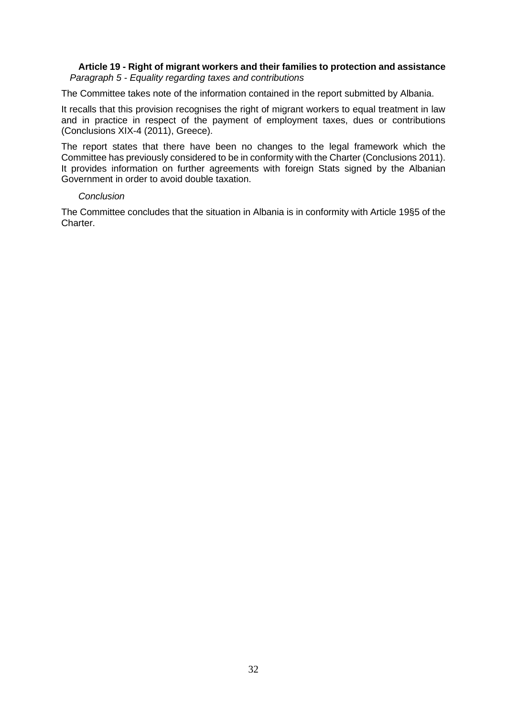# **Article 19 - Right of migrant workers and their families to protection and assistance** *Paragraph 5 - Equality regarding taxes and contributions*

The Committee takes note of the information contained in the report submitted by Albania.

It recalls that this provision recognises the right of migrant workers to equal treatment in law and in practice in respect of the payment of employment taxes, dues or contributions (Conclusions XIX-4 (2011), Greece).

The report states that there have been no changes to the legal framework which the Committee has previously considered to be in conformity with the Charter (Conclusions 2011). It provides information on further agreements with foreign Stats signed by the Albanian Government in order to avoid double taxation.

# *Conclusion*

The Committee concludes that the situation in Albania is in conformity with Article 19§5 of the Charter.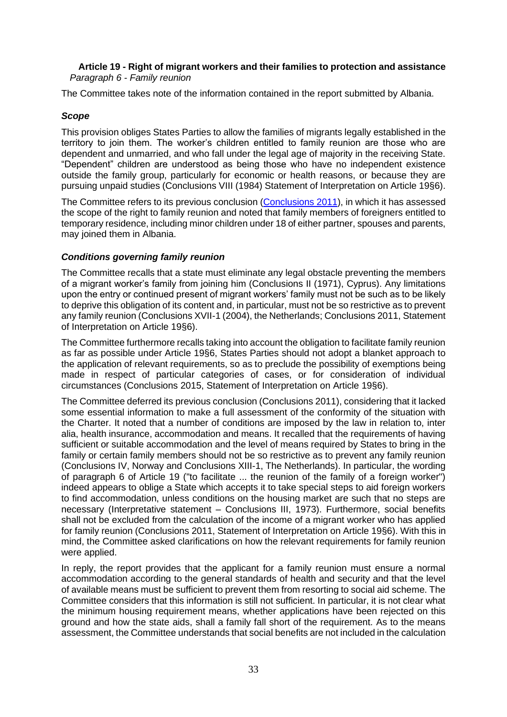# **Article 19 - Right of migrant workers and their families to protection and assistance** *Paragraph 6 - Family reunion*

The Committee takes note of the information contained in the report submitted by Albania.

# *Scope*

This provision obliges States Parties to allow the families of migrants legally established in the territory to join them. The worker's children entitled to family reunion are those who are dependent and unmarried, and who fall under the legal age of majority in the receiving State. "Dependent" children are understood as being those who have no independent existence outside the family group, particularly for economic or health reasons, or because they are pursuing unpaid studies (Conclusions VIII (1984) Statement of Interpretation on Article 19§6).

The Committee refers to its previous conclusion [\(Conclusions 2011\)](http://hudoc.esc.coe.int/eng/?i=2011/def/ALB/19/6/EN), in which it has assessed the scope of the right to family reunion and noted that family members of foreigners entitled to temporary residence, including minor children under 18 of either partner, spouses and parents, may joined them in Albania.

# *Conditions governing family reunion*

The Committee recalls that a state must eliminate any legal obstacle preventing the members of a migrant worker's family from joining him (Conclusions II (1971), Cyprus). Any limitations upon the entry or continued present of migrant workers' family must not be such as to be likely to deprive this obligation of its content and, in particular, must not be so restrictive as to prevent any family reunion (Conclusions XVII-1 (2004), the Netherlands; Conclusions 2011, Statement of Interpretation on Article 19§6).

The Committee furthermore recalls taking into account the obligation to facilitate family reunion as far as possible under Article 19§6, States Parties should not adopt a blanket approach to the application of relevant requirements, so as to preclude the possibility of exemptions being made in respect of particular categories of cases, or for consideration of individual circumstances (Conclusions 2015, Statement of Interpretation on Article 19§6).

The Committee deferred its previous conclusion (Conclusions 2011), considering that it lacked some essential information to make a full assessment of the conformity of the situation with the Charter. It noted that a number of conditions are imposed by the law in relation to, inter alia, health insurance, accommodation and means. It recalled that the requirements of having sufficient or suitable accommodation and the level of means required by States to bring in the family or certain family members should not be so restrictive as to prevent any family reunion (Conclusions IV, Norway and Conclusions XIII-1, The Netherlands). In particular, the wording of paragraph 6 of Article 19 ("to facilitate ... the reunion of the family of a foreign worker") indeed appears to oblige a State which accepts it to take special steps to aid foreign workers to find accommodation, unless conditions on the housing market are such that no steps are necessary (Interpretative statement – Conclusions III, 1973). Furthermore, social benefits shall not be excluded from the calculation of the income of a migrant worker who has applied for family reunion (Conclusions 2011, Statement of Interpretation on Article 19§6). With this in mind, the Committee asked clarifications on how the relevant requirements for family reunion were applied.

In reply, the report provides that the applicant for a family reunion must ensure a normal accommodation according to the general standards of health and security and that the level of available means must be sufficient to prevent them from resorting to social aid scheme. The Committee considers that this information is still not sufficient. In particular, it is not clear what the minimum housing requirement means, whether applications have been rejected on this ground and how the state aids, shall a family fall short of the requirement. As to the means assessment, the Committee understands that social benefits are not included in the calculation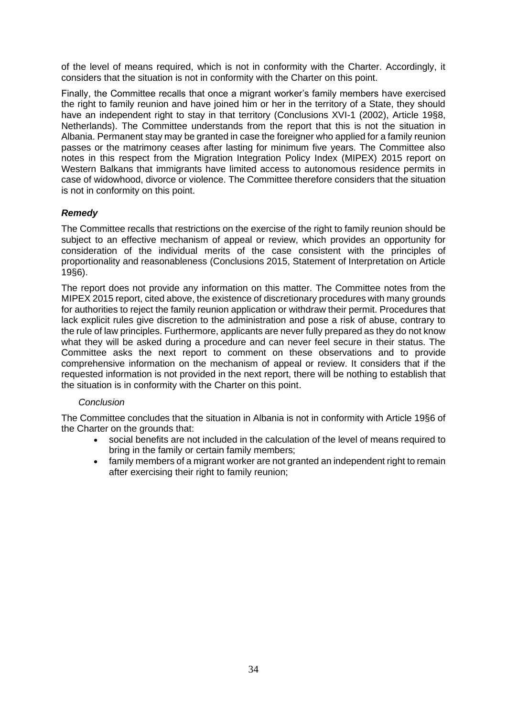of the level of means required, which is not in conformity with the Charter. Accordingly, it considers that the situation is not in conformity with the Charter on this point.

Finally, the Committee recalls that once a migrant worker's family members have exercised the right to family reunion and have joined him or her in the territory of a State, they should have an independent right to stay in that territory (Conclusions XVI-1 (2002), Article 19§8, Netherlands). The Committee understands from the report that this is not the situation in Albania. Permanent stay may be granted in case the foreigner who applied for a family reunion passes or the matrimony ceases after lasting for minimum five years. The Committee also notes in this respect from the Migration Integration Policy Index (MIPEX) 2015 report on Western Balkans that immigrants have limited access to autonomous residence permits in case of widowhood, divorce or violence. The Committee therefore considers that the situation is not in conformity on this point.

# *Remedy*

The Committee recalls that restrictions on the exercise of the right to family reunion should be subject to an effective mechanism of appeal or review, which provides an opportunity for consideration of the individual merits of the case consistent with the principles of proportionality and reasonableness (Conclusions 2015, Statement of Interpretation on Article 19§6).

The report does not provide any information on this matter. The Committee notes from the MIPEX 2015 report, cited above, the existence of discretionary procedures with many grounds for authorities to reject the family reunion application or withdraw their permit. Procedures that lack explicit rules give discretion to the administration and pose a risk of abuse, contrary to the rule of law principles. Furthermore, applicants are never fully prepared as they do not know what they will be asked during a procedure and can never feel secure in their status. The Committee asks the next report to comment on these observations and to provide comprehensive information on the mechanism of appeal or review. It considers that if the requested information is not provided in the next report, there will be nothing to establish that the situation is in conformity with the Charter on this point.

# *Conclusion*

The Committee concludes that the situation in Albania is not in conformity with Article 19§6 of the Charter on the grounds that:

- social benefits are not included in the calculation of the level of means required to bring in the family or certain family members;
- family members of a migrant worker are not granted an independent right to remain after exercising their right to family reunion;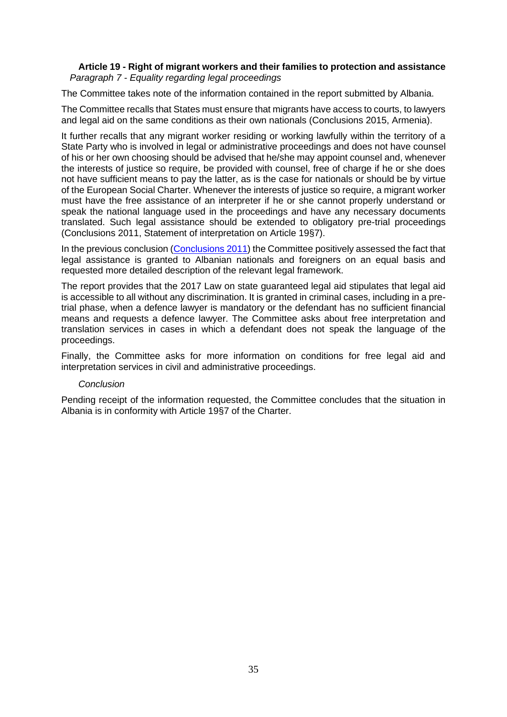# **Article 19 - Right of migrant workers and their families to protection and assistance** *Paragraph 7 - Equality regarding legal proceedings*

The Committee takes note of the information contained in the report submitted by Albania.

The Committee recalls that States must ensure that migrants have access to courts, to lawyers and legal aid on the same conditions as their own nationals (Conclusions 2015, Armenia).

It further recalls that any migrant worker residing or working lawfully within the territory of a State Party who is involved in legal or administrative proceedings and does not have counsel of his or her own choosing should be advised that he/she may appoint counsel and, whenever the interests of justice so require, be provided with counsel, free of charge if he or she does not have sufficient means to pay the latter, as is the case for nationals or should be by virtue of the European Social Charter. Whenever the interests of justice so require, a migrant worker must have the free assistance of an interpreter if he or she cannot properly understand or speak the national language used in the proceedings and have any necessary documents translated. Such legal assistance should be extended to obligatory pre-trial proceedings (Conclusions 2011, Statement of interpretation on Article 19§7).

In the previous conclusion [\(Conclusions 2011\)](http://hudoc.esc.coe.int/eng/?i=2011/def/ALB/19/7/EN) the Committee positively assessed the fact that legal assistance is granted to Albanian nationals and foreigners on an equal basis and requested more detailed description of the relevant legal framework.

The report provides that the 2017 Law on state guaranteed legal aid stipulates that legal aid is accessible to all without any discrimination. It is granted in criminal cases, including in a pretrial phase, when a defence lawyer is mandatory or the defendant has no sufficient financial means and requests a defence lawyer. The Committee asks about free interpretation and translation services in cases in which a defendant does not speak the language of the proceedings.

Finally, the Committee asks for more information on conditions for free legal aid and interpretation services in civil and administrative proceedings.

#### *Conclusion*

Pending receipt of the information requested, the Committee concludes that the situation in Albania is in conformity with Article 19§7 of the Charter.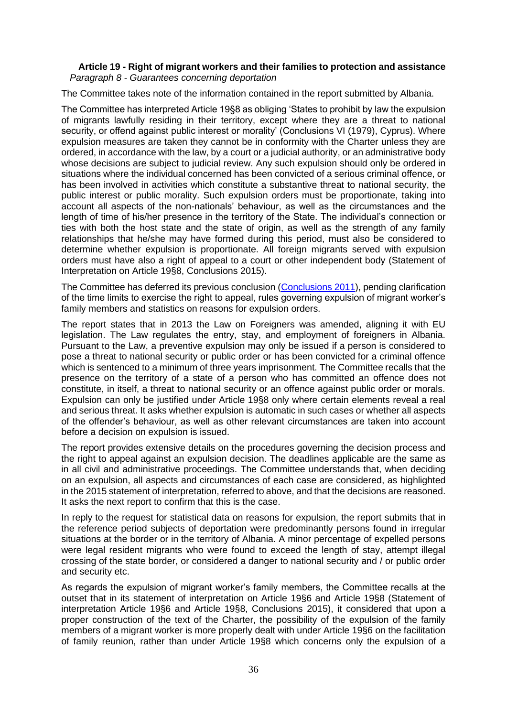### **Article 19 - Right of migrant workers and their families to protection and assistance** *Paragraph 8 - Guarantees concerning deportation*

The Committee takes note of the information contained in the report submitted by Albania.

The Committee has interpreted Article 19§8 as obliging 'States to prohibit by law the expulsion of migrants lawfully residing in their territory, except where they are a threat to national security, or offend against public interest or morality' (Conclusions VI (1979), Cyprus). Where expulsion measures are taken they cannot be in conformity with the Charter unless they are ordered, in accordance with the law, by a court or a judicial authority, or an administrative body whose decisions are subject to judicial review. Any such expulsion should only be ordered in situations where the individual concerned has been convicted of a serious criminal offence, or has been involved in activities which constitute a substantive threat to national security, the public interest or public morality. Such expulsion orders must be proportionate, taking into account all aspects of the non-nationals' behaviour, as well as the circumstances and the length of time of his/her presence in the territory of the State. The individual's connection or ties with both the host state and the state of origin, as well as the strength of any family relationships that he/she may have formed during this period, must also be considered to determine whether expulsion is proportionate. All foreign migrants served with expulsion orders must have also a right of appeal to a court or other independent body (Statement of Interpretation on Article 19§8, Conclusions 2015).

The Committee has deferred its previous conclusion [\(Conclusions 2011\)](http://hudoc.esc.coe.int/eng/?i=2011/def/FIN/19/8/EN), pending clarification of the time limits to exercise the right to appeal, rules governing expulsion of migrant worker's family members and statistics on reasons for expulsion orders.

The report states that in 2013 the Law on Foreigners was amended, aligning it with EU legislation. The Law regulates the entry, stay, and employment of foreigners in Albania. Pursuant to the Law, a preventive expulsion may only be issued if a person is considered to pose a threat to national security or public order or has been convicted for a criminal offence which is sentenced to a minimum of three years imprisonment. The Committee recalls that the presence on the territory of a state of a person who has committed an offence does not constitute, in itself, a threat to national security or an offence against public order or morals. Expulsion can only be justified under Article 19§8 only where certain elements reveal a real and serious threat. It asks whether expulsion is automatic in such cases or whether all aspects of the offender's behaviour, as well as other relevant circumstances are taken into account before a decision on expulsion is issued.

The report provides extensive details on the procedures governing the decision process and the right to appeal against an expulsion decision. The deadlines applicable are the same as in all civil and administrative proceedings. The Committee understands that, when deciding on an expulsion, all aspects and circumstances of each case are considered, as highlighted in the 2015 statement of interpretation, referred to above, and that the decisions are reasoned. It asks the next report to confirm that this is the case.

In reply to the request for statistical data on reasons for expulsion, the report submits that in the reference period subjects of deportation were predominantly persons found in irregular situations at the border or in the territory of Albania. A minor percentage of expelled persons were legal resident migrants who were found to exceed the length of stay, attempt illegal crossing of the state border, or considered a danger to national security and / or public order and security etc.

As regards the expulsion of migrant worker's family members, the Committee recalls at the outset that in its statement of interpretation on Article 19§6 and Article 19§8 (Statement of interpretation Article 19§6 and Article 19§8, Conclusions 2015), it considered that upon a proper construction of the text of the Charter, the possibility of the expulsion of the family members of a migrant worker is more properly dealt with under Article 19§6 on the facilitation of family reunion, rather than under Article 19§8 which concerns only the expulsion of a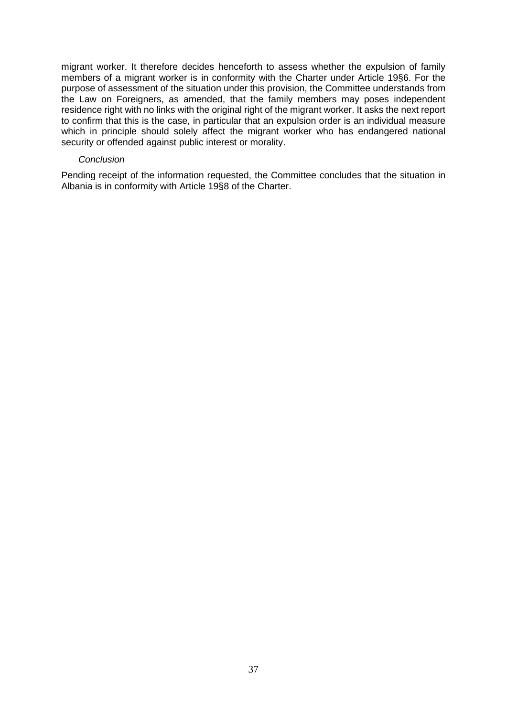migrant worker. It therefore decides henceforth to assess whether the expulsion of family members of a migrant worker is in conformity with the Charter under Article 19§6. For the purpose of assessment of the situation under this provision, the Committee understands from the Law on Foreigners, as amended, that the family members may poses independent residence right with no links with the original right of the migrant worker. It asks the next report to confirm that this is the case, in particular that an expulsion order is an individual measure which in principle should solely affect the migrant worker who has endangered national security or offended against public interest or morality.

#### *Conclusion*

Pending receipt of the information requested, the Committee concludes that the situation in Albania is in conformity with Article 19§8 of the Charter.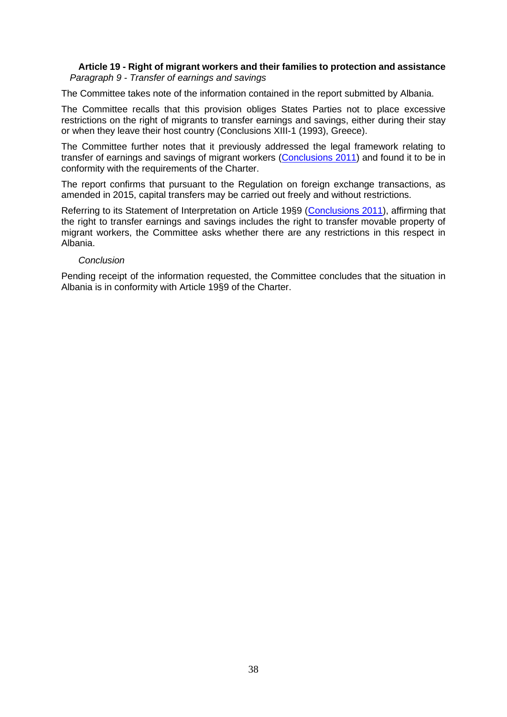### **Article 19 - Right of migrant workers and their families to protection and assistance** *Paragraph 9 - Transfer of earnings and savings*

The Committee takes note of the information contained in the report submitted by Albania.

The Committee recalls that this provision obliges States Parties not to place excessive restrictions on the right of migrants to transfer earnings and savings, either during their stay or when they leave their host country (Conclusions XIII-1 (1993), Greece).

The Committee further notes that it previously addressed the legal framework relating to transfer of earnings and savings of migrant workers [\(Conclusions 2011\)](http://hudoc.esc.coe.int/eng/?i=2011/def/ALB/19/9/EN) and found it to be in conformity with the requirements of the Charter.

The report confirms that pursuant to the Regulation on foreign exchange transactions, as amended in 2015, capital transfers may be carried out freely and without restrictions.

Referring to its Statement of Interpretation on Article 19§9 [\(Conclusions 2011\)](http://hudoc.esc.coe.int/eng/?i=2011_163_09/Ob/EN), affirming that the right to transfer earnings and savings includes the right to transfer movable property of migrant workers, the Committee asks whether there are any restrictions in this respect in Albania.

# *Conclusion*

Pending receipt of the information requested, the Committee concludes that the situation in Albania is in conformity with Article 19§9 of the Charter.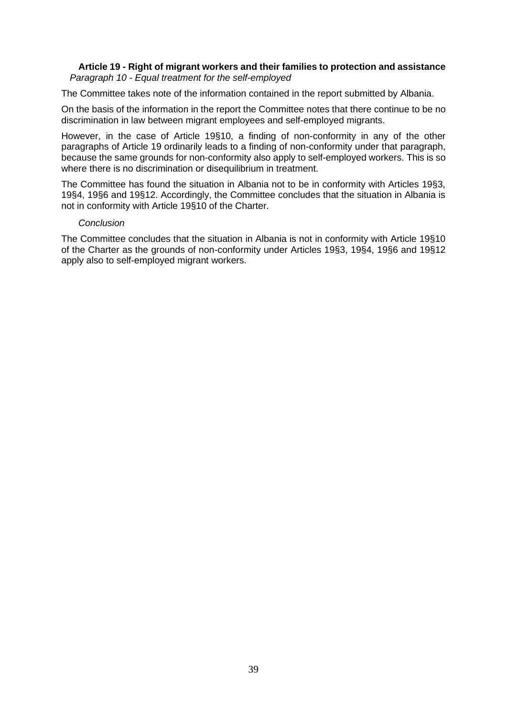# **Article 19 - Right of migrant workers and their families to protection and assistance** *Paragraph 10 - Equal treatment for the self-employed*

The Committee takes note of the information contained in the report submitted by Albania.

On the basis of the information in the report the Committee notes that there continue to be no discrimination in law between migrant employees and self-employed migrants.

However, in the case of Article 19§10, a finding of non-conformity in any of the other paragraphs of Article 19 ordinarily leads to a finding of non-conformity under that paragraph, because the same grounds for non-conformity also apply to self-employed workers. This is so where there is no discrimination or disequilibrium in treatment.

The Committee has found the situation in Albania not to be in conformity with Articles 19§3, 19§4, 19§6 and 19§12. Accordingly, the Committee concludes that the situation in Albania is not in conformity with Article 19§10 of the Charter.

#### *Conclusion*

The Committee concludes that the situation in Albania is not in conformity with Article 19§10 of the Charter as the grounds of non-conformity under Articles 19§3, 19§4, 19§6 and 19§12 apply also to self-employed migrant workers.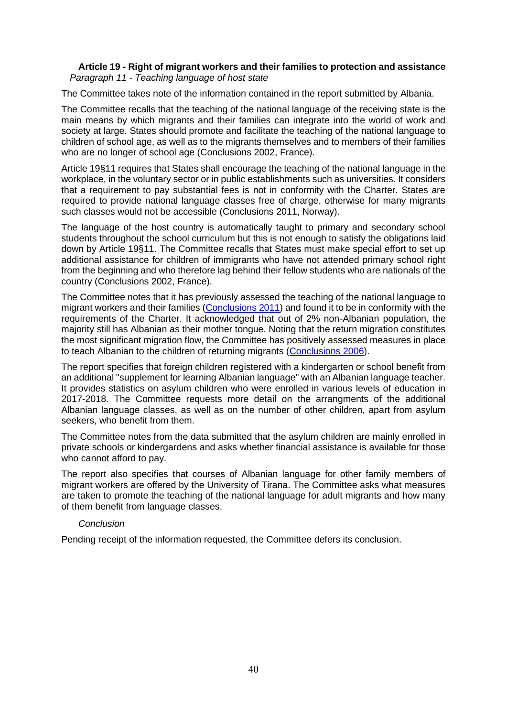# **Article 19 - Right of migrant workers and their families to protection and assistance** *Paragraph 11 - Teaching language of host state*

The Committee takes note of the information contained in the report submitted by Albania.

The Committee recalls that the teaching of the national language of the receiving state is the main means by which migrants and their families can integrate into the world of work and society at large. States should promote and facilitate the teaching of the national language to children of school age, as well as to the migrants themselves and to members of their families who are no longer of school age (Conclusions 2002, France).

Article 19§11 requires that States shall encourage the teaching of the national language in the workplace, in the voluntary sector or in public establishments such as universities. It considers that a requirement to pay substantial fees is not in conformity with the Charter. States are required to provide national language classes free of charge, otherwise for many migrants such classes would not be accessible (Conclusions 2011, Norway).

The language of the host country is automatically taught to primary and secondary school students throughout the school curriculum but this is not enough to satisfy the obligations laid down by Article 19§11. The Committee recalls that States must make special effort to set up additional assistance for children of immigrants who have not attended primary school right from the beginning and who therefore lag behind their fellow students who are nationals of the country (Conclusions 2002, France).

The Committee notes that it has previously assessed the teaching of the national language to migrant workers and their families [\(Conclusions 2011\)](http://hudoc.esc.coe.int/eng/?i=2011/def/ALB/19/11/EN) and found it to be in conformity with the requirements of the Charter. It acknowledged that out of 2% non-Albanian population, the majority still has Albanian as their mother tongue. Noting that the return migration constitutes the most significant migration flow, the Committee has positively assessed measures in place to teach Albanian to the children of returning migrants [\(Conclusions 2006\)](http://hudoc.esc.coe.int/eng/?i=2006/def/ALB/19/11/EN).

The report specifies that foreign children registered with a kindergarten or school benefit from an additional "supplement for learning Albanian language" with an Albanian language teacher. It provides statistics on asylum children who were enrolled in various levels of education in 2017-2018. The Committee requests more detail on the arrangments of the additional Albanian language classes, as well as on the number of other children, apart from asylum seekers, who benefit from them.

The Committee notes from the data submitted that the asylum children are mainly enrolled in private schools or kindergardens and asks whether financial assistance is available for those who cannot afford to pay.

The report also specifies that courses of Albanian language for other family members of migrant workers are offered by the University of Tirana. The Committee asks what measures are taken to promote the teaching of the national language for adult migrants and how many of them benefit from language classes.

#### *Conclusion*

Pending receipt of the information requested, the Committee defers its conclusion.